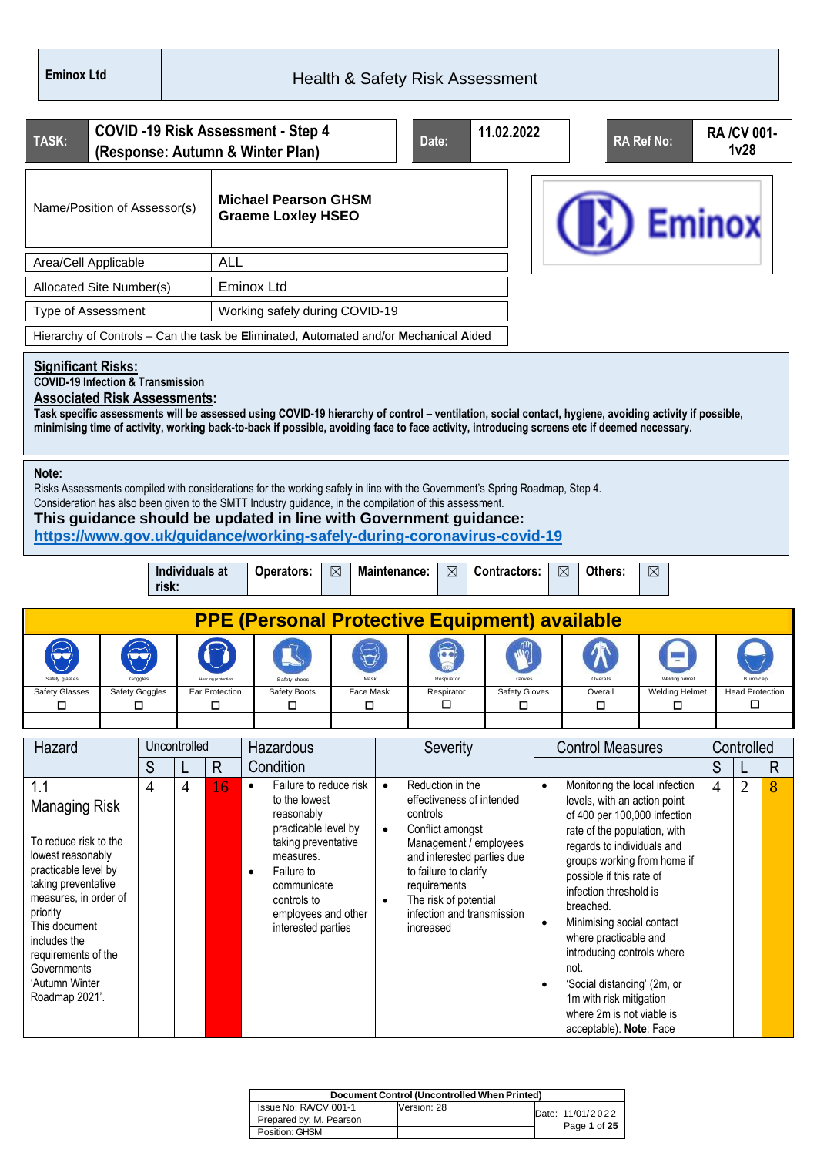| TASK:                                                                                                                                                                                                                                                             |                     |                |                    | <b>COVID -19 Risk Assessment - Step 4</b><br>(Response: Autumn & Winter Plan)                                                                                                                                                                                                                                                                                                         |             |                        | Date:                                                                                                                                                                                                                          | 11.02.2022                |                        |                                                                                                                                                                                                                                                                                                                                                                                                                                            | <b>RA Ref No:</b>     |                     | <b>RA/CV 001-</b><br>1 <sub>v</sub> 28 |                   |
|-------------------------------------------------------------------------------------------------------------------------------------------------------------------------------------------------------------------------------------------------------------------|---------------------|----------------|--------------------|---------------------------------------------------------------------------------------------------------------------------------------------------------------------------------------------------------------------------------------------------------------------------------------------------------------------------------------------------------------------------------------|-------------|------------------------|--------------------------------------------------------------------------------------------------------------------------------------------------------------------------------------------------------------------------------|---------------------------|------------------------|--------------------------------------------------------------------------------------------------------------------------------------------------------------------------------------------------------------------------------------------------------------------------------------------------------------------------------------------------------------------------------------------------------------------------------------------|-----------------------|---------------------|----------------------------------------|-------------------|
| Name/Position of Assessor(s)                                                                                                                                                                                                                                      |                     |                |                    | <b>Michael Pearson GHSM</b><br><b>Graeme Loxley HSEO</b>                                                                                                                                                                                                                                                                                                                              |             |                        |                                                                                                                                                                                                                                |                           |                        |                                                                                                                                                                                                                                                                                                                                                                                                                                            | <b>Eminox</b>         |                     |                                        |                   |
| Area/Cell Applicable                                                                                                                                                                                                                                              |                     |                | <b>ALL</b>         |                                                                                                                                                                                                                                                                                                                                                                                       |             |                        |                                                                                                                                                                                                                                |                           |                        |                                                                                                                                                                                                                                                                                                                                                                                                                                            |                       |                     |                                        |                   |
| Allocated Site Number(s)                                                                                                                                                                                                                                          |                     |                |                    | <b>Eminox Ltd</b>                                                                                                                                                                                                                                                                                                                                                                     |             |                        |                                                                                                                                                                                                                                |                           |                        |                                                                                                                                                                                                                                                                                                                                                                                                                                            |                       |                     |                                        |                   |
| <b>Type of Assessment</b>                                                                                                                                                                                                                                         |                     |                |                    | Working safely during COVID-19                                                                                                                                                                                                                                                                                                                                                        |             |                        |                                                                                                                                                                                                                                |                           |                        |                                                                                                                                                                                                                                                                                                                                                                                                                                            |                       |                     |                                        |                   |
|                                                                                                                                                                                                                                                                   |                     |                |                    | Hierarchy of Controls - Can the task be Eliminated, Automated and/or Mechanical Aided                                                                                                                                                                                                                                                                                                 |             |                        |                                                                                                                                                                                                                                |                           |                        |                                                                                                                                                                                                                                                                                                                                                                                                                                            |                       |                     |                                        |                   |
| <b>Significant Risks:</b><br><b>COVID-19 Infection &amp; Transmission</b><br><b>Associated Risk Assessments:</b>                                                                                                                                                  |                     |                |                    | Task specific assessments will be assessed using COVID-19 hierarchy of control - ventilation, social contact, hygiene, avoiding activity if possible,<br>minimising time of activity, working back-to-back if possible, avoiding face to face activity, introducing screens etc if deemed necessary.                                                                                  |             |                        |                                                                                                                                                                                                                                |                           |                        |                                                                                                                                                                                                                                                                                                                                                                                                                                            |                       |                     |                                        |                   |
| Note:                                                                                                                                                                                                                                                             |                     |                |                    | Risks Assessments compiled with considerations for the working safely in line with the Government's Spring Roadmap, Step 4.<br>Consideration has also been given to the SMTT Industry guidance, in the compilation of this assessment.<br>This guidance should be updated in line with Government guidance:<br>https://www.gov.uk/guidance/working-safely-during-coronavirus-covid-19 |             |                        |                                                                                                                                                                                                                                |                           |                        |                                                                                                                                                                                                                                                                                                                                                                                                                                            |                       |                     |                                        |                   |
|                                                                                                                                                                                                                                                                   | risk:               | Individuals at |                    | Operators:                                                                                                                                                                                                                                                                                                                                                                            | $\boxtimes$ |                        | Maintenance:<br>$\boxtimes$                                                                                                                                                                                                    | Contractors:              | $\boxtimes$            | Others:                                                                                                                                                                                                                                                                                                                                                                                                                                    | ⊠                     |                     |                                        |                   |
|                                                                                                                                                                                                                                                                   |                     |                |                    | <b>PPE (Personal Protective Equipment) available</b>                                                                                                                                                                                                                                                                                                                                  |             |                        |                                                                                                                                                                                                                                |                           |                        |                                                                                                                                                                                                                                                                                                                                                                                                                                            |                       |                     |                                        |                   |
|                                                                                                                                                                                                                                                                   |                     |                | Ear Protection     | Safety shoes                                                                                                                                                                                                                                                                                                                                                                          | Face Mask   |                        |                                                                                                                                                                                                                                |                           |                        | Overall                                                                                                                                                                                                                                                                                                                                                                                                                                    | <b>Welding Helmet</b> |                     | <b>Head Protection</b>                 |                   |
| Safety Glasses<br>□                                                                                                                                                                                                                                               | Safety Goggles<br>□ |                | □                  | Safety Boots<br>◻                                                                                                                                                                                                                                                                                                                                                                     | ◻           |                        | Respirator<br>◻                                                                                                                                                                                                                | <b>Safety Gloves</b><br>□ |                        | Overall<br>□                                                                                                                                                                                                                                                                                                                                                                                                                               | □                     |                     | ◻                                      |                   |
|                                                                                                                                                                                                                                                                   |                     |                |                    |                                                                                                                                                                                                                                                                                                                                                                                       |             |                        |                                                                                                                                                                                                                                |                           |                        |                                                                                                                                                                                                                                                                                                                                                                                                                                            |                       |                     |                                        |                   |
| Hazard                                                                                                                                                                                                                                                            |                     | Uncontrolled   |                    | Hazardous                                                                                                                                                                                                                                                                                                                                                                             |             |                        | Severity                                                                                                                                                                                                                       |                           |                        | <b>Control Measures</b>                                                                                                                                                                                                                                                                                                                                                                                                                    |                       |                     | Controlled                             |                   |
| 1.1                                                                                                                                                                                                                                                               | S<br>$\overline{4}$ | $\overline{4}$ | $\mathsf{R}$<br>16 | Condition<br>Failure to reduce risk<br>$\bullet$                                                                                                                                                                                                                                                                                                                                      |             | $\bullet$              | Reduction in the                                                                                                                                                                                                               |                           | $\bullet$              | Monitoring the local infection                                                                                                                                                                                                                                                                                                                                                                                                             |                       | S<br>$\overline{4}$ | $\overline{2}$                         | $\mathsf{R}$<br>8 |
| <b>Managing Risk</b><br>To reduce risk to the<br>lowest reasonably<br>practicable level by<br>taking preventative<br>measures, in order of<br>priority<br>This document<br>includes the<br>requirements of the<br>Governments<br>'Autumn Winter<br>Roadmap 2021'. |                     |                |                    | to the lowest<br>reasonably<br>practicable level by<br>taking preventative<br>measures.<br>Failure to<br>$\bullet$<br>communicate<br>controls to<br>employees and other<br>interested parties                                                                                                                                                                                         |             | $\bullet$<br>$\bullet$ | effectiveness of intended<br>controls<br>Conflict amongst<br>Management / employees<br>and interested parties due<br>to failure to clarify<br>requirements<br>The risk of potential<br>infection and transmission<br>increased |                           | $\bullet$<br>$\bullet$ | levels, with an action point<br>of 400 per 100,000 infection<br>rate of the population, with<br>regards to individuals and<br>groups working from home if<br>possible if this rate of<br>infection threshold is<br>breached.<br>Minimising social contact<br>where practicable and<br>introducing controls where<br>not.<br>'Social distancing' (2m, or<br>1m with risk mitigation<br>where 2m is not viable is<br>acceptable). Note: Face |                       |                     |                                        |                   |

|                         | Document Control (Uncontrolled When Printed) |                  |
|-------------------------|----------------------------------------------|------------------|
| Issue No: RA/CV 001-1   | Version: 28                                  | Date: 11/01/2022 |
| Prepared by: M. Pearson |                                              |                  |
| Position: GHSM          |                                              | Page 1 of 25     |
|                         |                                              |                  |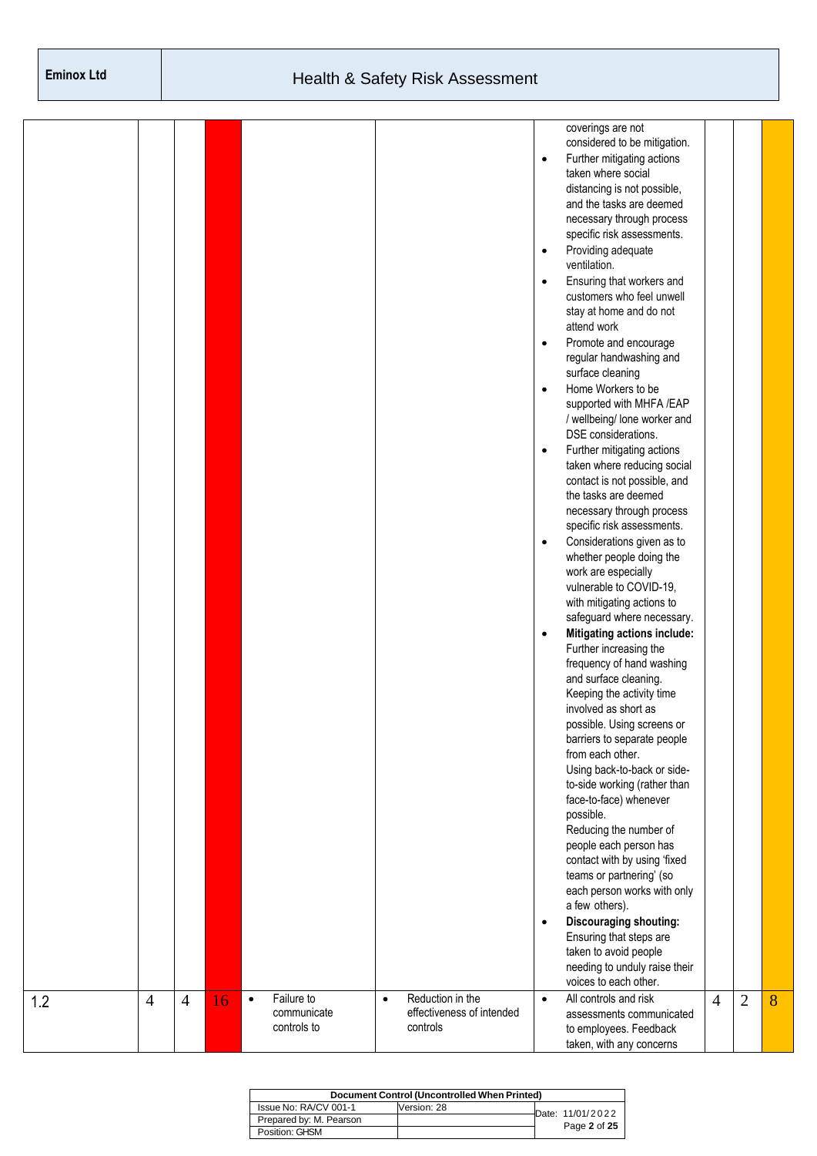|     |                |                |    |           |             |           |                           |           | coverings are not                  |                |                |   |
|-----|----------------|----------------|----|-----------|-------------|-----------|---------------------------|-----------|------------------------------------|----------------|----------------|---|
|     |                |                |    |           |             |           |                           |           | considered to be mitigation.       |                |                |   |
|     |                |                |    |           |             |           |                           | $\bullet$ | Further mitigating actions         |                |                |   |
|     |                |                |    |           |             |           |                           |           | taken where social                 |                |                |   |
|     |                |                |    |           |             |           |                           |           | distancing is not possible,        |                |                |   |
|     |                |                |    |           |             |           |                           |           | and the tasks are deemed           |                |                |   |
|     |                |                |    |           |             |           |                           |           | necessary through process          |                |                |   |
|     |                |                |    |           |             |           |                           |           | specific risk assessments.         |                |                |   |
|     |                |                |    |           |             |           |                           | $\bullet$ | Providing adequate                 |                |                |   |
|     |                |                |    |           |             |           |                           |           | ventilation.                       |                |                |   |
|     |                |                |    |           |             |           |                           | $\bullet$ | Ensuring that workers and          |                |                |   |
|     |                |                |    |           |             |           |                           |           | customers who feel unwell          |                |                |   |
|     |                |                |    |           |             |           |                           |           | stay at home and do not            |                |                |   |
|     |                |                |    |           |             |           |                           |           | attend work                        |                |                |   |
|     |                |                |    |           |             |           |                           |           |                                    |                |                |   |
|     |                |                |    |           |             |           |                           | $\bullet$ | Promote and encourage              |                |                |   |
|     |                |                |    |           |             |           |                           |           | regular handwashing and            |                |                |   |
|     |                |                |    |           |             |           |                           |           | surface cleaning                   |                |                |   |
|     |                |                |    |           |             |           |                           | $\bullet$ | Home Workers to be                 |                |                |   |
|     |                |                |    |           |             |           |                           |           | supported with MHFA /EAP           |                |                |   |
|     |                |                |    |           |             |           |                           |           | / wellbeing/ lone worker and       |                |                |   |
|     |                |                |    |           |             |           |                           |           | DSE considerations.                |                |                |   |
|     |                |                |    |           |             |           |                           | $\bullet$ | Further mitigating actions         |                |                |   |
|     |                |                |    |           |             |           |                           |           | taken where reducing social        |                |                |   |
|     |                |                |    |           |             |           |                           |           | contact is not possible, and       |                |                |   |
|     |                |                |    |           |             |           |                           |           | the tasks are deemed               |                |                |   |
|     |                |                |    |           |             |           |                           |           | necessary through process          |                |                |   |
|     |                |                |    |           |             |           |                           |           | specific risk assessments.         |                |                |   |
|     |                |                |    |           |             |           |                           | $\bullet$ | Considerations given as to         |                |                |   |
|     |                |                |    |           |             |           |                           |           | whether people doing the           |                |                |   |
|     |                |                |    |           |             |           |                           |           | work are especially                |                |                |   |
|     |                |                |    |           |             |           |                           |           | vulnerable to COVID-19,            |                |                |   |
|     |                |                |    |           |             |           |                           |           |                                    |                |                |   |
|     |                |                |    |           |             |           |                           |           | with mitigating actions to         |                |                |   |
|     |                |                |    |           |             |           |                           |           | safeguard where necessary.         |                |                |   |
|     |                |                |    |           |             |           |                           | $\bullet$ | <b>Mitigating actions include:</b> |                |                |   |
|     |                |                |    |           |             |           |                           |           | Further increasing the             |                |                |   |
|     |                |                |    |           |             |           |                           |           | frequency of hand washing          |                |                |   |
|     |                |                |    |           |             |           |                           |           | and surface cleaning.              |                |                |   |
|     |                |                |    |           |             |           |                           |           | Keeping the activity time          |                |                |   |
|     |                |                |    |           |             |           |                           |           | involved as short as               |                |                |   |
|     |                |                |    |           |             |           |                           |           | possible. Using screens or         |                |                |   |
|     |                |                |    |           |             |           |                           |           | barriers to separate people        |                |                |   |
|     |                |                |    |           |             |           |                           |           | from each other.                   |                |                |   |
|     |                |                |    |           |             |           |                           |           | Using back-to-back or side-        |                |                |   |
|     |                |                |    |           |             |           |                           |           | to-side working (rather than       |                |                |   |
|     |                |                |    |           |             |           |                           |           | face-to-face) whenever             |                |                |   |
|     |                |                |    |           |             |           |                           |           | possible.                          |                |                |   |
|     |                |                |    |           |             |           |                           |           | Reducing the number of             |                |                |   |
|     |                |                |    |           |             |           |                           |           | people each person has             |                |                |   |
|     |                |                |    |           |             |           |                           |           | contact with by using 'fixed       |                |                |   |
|     |                |                |    |           |             |           |                           |           | teams or partnering' (so           |                |                |   |
|     |                |                |    |           |             |           |                           |           | each person works with only        |                |                |   |
|     |                |                |    |           |             |           |                           |           | a few others).                     |                |                |   |
|     |                |                |    |           |             |           |                           | $\bullet$ | Discouraging shouting:             |                |                |   |
|     |                |                |    |           |             |           |                           |           |                                    |                |                |   |
|     |                |                |    |           |             |           |                           |           | Ensuring that steps are            |                |                |   |
|     |                |                |    |           |             |           |                           |           | taken to avoid people              |                |                |   |
|     |                |                |    |           |             |           |                           |           | needing to unduly raise their      |                |                |   |
|     |                |                |    |           |             |           |                           |           | voices to each other.              |                |                |   |
| 1.2 | $\overline{4}$ | $\overline{4}$ | 16 | $\bullet$ | Failure to  | $\bullet$ | Reduction in the          | $\bullet$ | All controls and risk              | $\overline{4}$ | $\overline{2}$ | 8 |
|     |                |                |    |           | communicate |           | effectiveness of intended |           | assessments communicated           |                |                |   |
|     |                |                |    |           | controls to |           | controls                  |           | to employees. Feedback             |                |                |   |
|     |                |                |    |           |             |           |                           |           | taken, with any concerns           |                |                |   |

| Document Control (Uncontrolled When Printed) |             |  |                  |  |  |  |  |  |  |  |
|----------------------------------------------|-------------|--|------------------|--|--|--|--|--|--|--|
| Issue No: RA/CV 001-1                        | Version: 28 |  | Date: 11/01/2022 |  |  |  |  |  |  |  |
| Prepared by: M. Pearson                      |             |  | Page 2 of 25     |  |  |  |  |  |  |  |
| Position: GHSM                               |             |  |                  |  |  |  |  |  |  |  |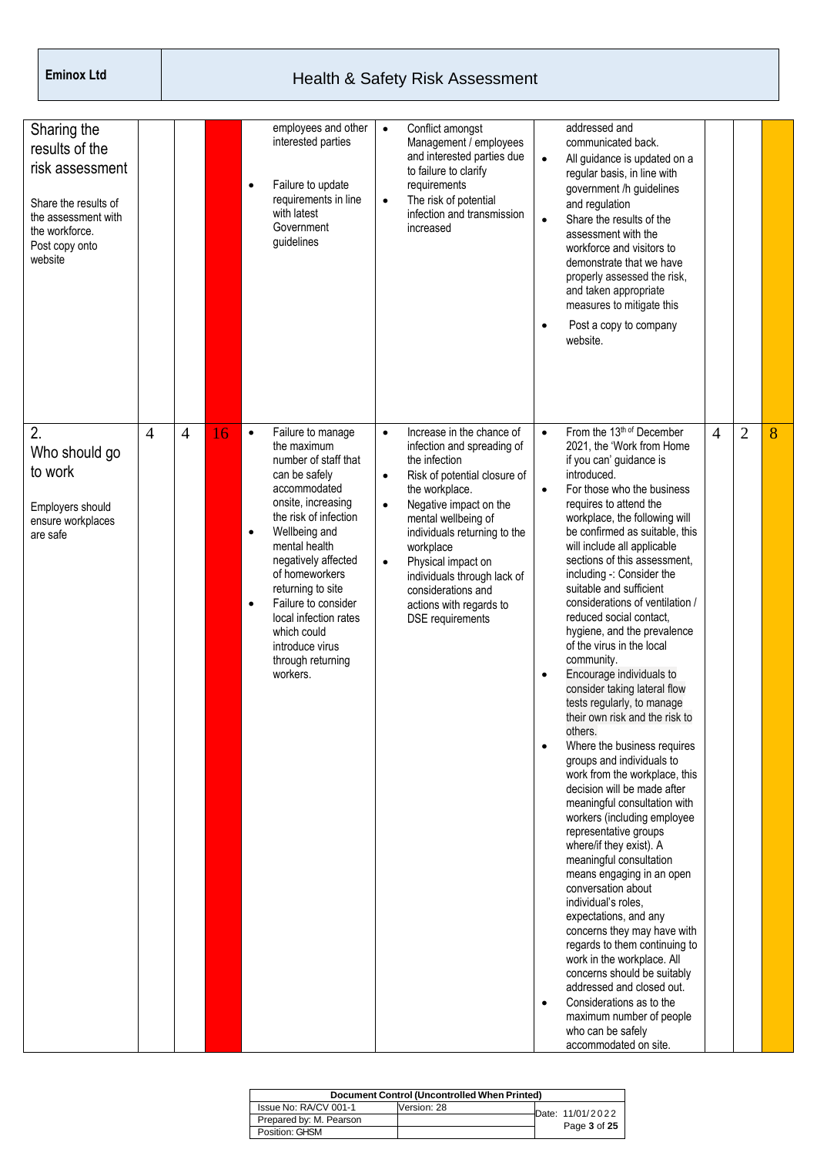| Sharing the<br>results of the<br>risk assessment<br>Share the results of<br>the assessment with<br>the workforce.<br>Post copy onto<br>website |                |                |    | $\bullet$                           | employees and other<br>interested parties<br>Failure to update<br>requirements in line<br>with latest<br>Government<br>guidelines                                                                                                                                                                                                                           | $\bullet$<br>$\bullet$                           | Conflict amongst<br>Management / employees<br>and interested parties due<br>to failure to clarify<br>requirements<br>The risk of potential<br>infection and transmission<br>increased                                                                                                                                                                     | $\bullet$<br>$\bullet$<br>$\bullet$                           | addressed and<br>communicated back.<br>All guidance is updated on a<br>regular basis, in line with<br>government /h guidelines<br>and regulation<br>Share the results of the<br>assessment with the<br>workforce and visitors to<br>demonstrate that we have<br>properly assessed the risk,<br>and taken appropriate<br>measures to mitigate this<br>Post a copy to company<br>website.                                                                                                                                                                                                                                                                                                                                                                                                                                                                                                                                                                                                                                                                                                                                                                                                                                                                                        |                |                |   |
|------------------------------------------------------------------------------------------------------------------------------------------------|----------------|----------------|----|-------------------------------------|-------------------------------------------------------------------------------------------------------------------------------------------------------------------------------------------------------------------------------------------------------------------------------------------------------------------------------------------------------------|--------------------------------------------------|-----------------------------------------------------------------------------------------------------------------------------------------------------------------------------------------------------------------------------------------------------------------------------------------------------------------------------------------------------------|---------------------------------------------------------------|--------------------------------------------------------------------------------------------------------------------------------------------------------------------------------------------------------------------------------------------------------------------------------------------------------------------------------------------------------------------------------------------------------------------------------------------------------------------------------------------------------------------------------------------------------------------------------------------------------------------------------------------------------------------------------------------------------------------------------------------------------------------------------------------------------------------------------------------------------------------------------------------------------------------------------------------------------------------------------------------------------------------------------------------------------------------------------------------------------------------------------------------------------------------------------------------------------------------------------------------------------------------------------|----------------|----------------|---|
| 2.<br>Who should go<br>to work<br>Employers should<br>ensure workplaces<br>are safe                                                            | $\overline{4}$ | $\overline{4}$ | 16 | $\bullet$<br>$\bullet$<br>$\bullet$ | Failure to manage<br>the maximum<br>number of staff that<br>can be safely<br>accommodated<br>onsite, increasing<br>the risk of infection<br>Wellbeing and<br>mental health<br>negatively affected<br>of homeworkers<br>returning to site<br>Failure to consider<br>local infection rates<br>which could<br>introduce virus<br>through returning<br>workers. | $\bullet$<br>$\bullet$<br>$\bullet$<br>$\bullet$ | Increase in the chance of<br>infection and spreading of<br>the infection<br>Risk of potential closure of<br>the workplace.<br>Negative impact on the<br>mental wellbeing of<br>individuals returning to the<br>workplace<br>Physical impact on<br>individuals through lack of<br>considerations and<br>actions with regards to<br><b>DSE</b> requirements | $\bullet$<br>$\bullet$<br>$\bullet$<br>$\bullet$<br>$\bullet$ | From the 13th of December<br>2021, the 'Work from Home<br>if you can' guidance is<br>introduced.<br>For those who the business<br>requires to attend the<br>workplace, the following will<br>be confirmed as suitable, this<br>will include all applicable<br>sections of this assessment,<br>including -: Consider the<br>suitable and sufficient<br>considerations of ventilation /<br>reduced social contact.<br>hygiene, and the prevalence<br>of the virus in the local<br>community.<br>Encourage individuals to<br>consider taking lateral flow<br>tests regularly, to manage<br>their own risk and the risk to<br>others.<br>Where the business requires<br>groups and individuals to<br>work from the workplace, this<br>decision will be made after<br>meaningful consultation with<br>workers (including employee<br>representative groups<br>where/if they exist). A<br>meaningful consultation<br>means engaging in an open<br>conversation about<br>individual's roles,<br>expectations, and any<br>concerns they may have with<br>regards to them continuing to<br>work in the workplace. All<br>concerns should be suitably<br>addressed and closed out.<br>Considerations as to the<br>maximum number of people<br>who can be safely<br>accommodated on site. | $\overline{4}$ | $\overline{2}$ | 8 |

| Document Control (Uncontrolled When Printed) |             |  |                  |  |  |  |  |  |  |  |
|----------------------------------------------|-------------|--|------------------|--|--|--|--|--|--|--|
| Issue No: RA/CV 001-1                        | Version: 28 |  | Date: 11/01/2022 |  |  |  |  |  |  |  |
| Prepared by: M. Pearson                      |             |  | Page 3 of 25     |  |  |  |  |  |  |  |
| Position: GHSM                               |             |  |                  |  |  |  |  |  |  |  |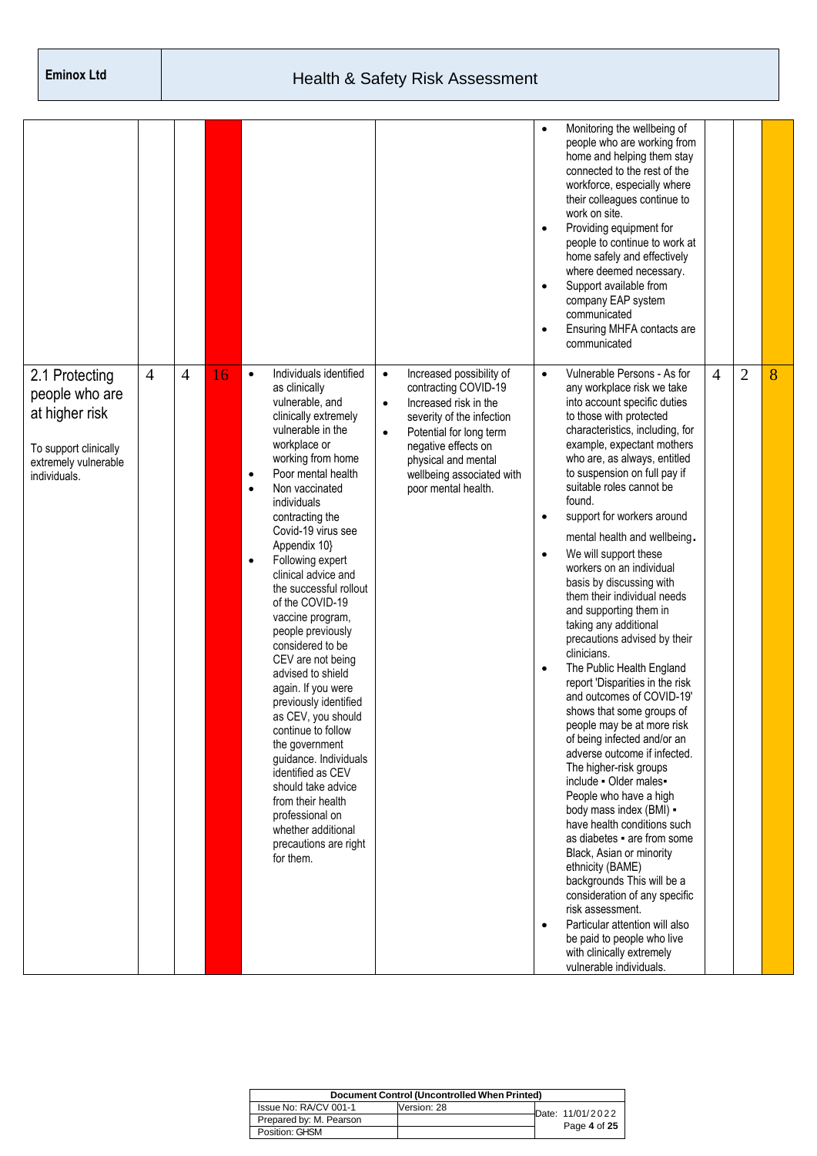|                                                                                                                     |                |                |    |                                                                                                                                                                                                                                                                                                                                                                                                                                                                                                                                                                                                                                                                                                                                                                                                      |                                                                                                                                                                                                                                                                            | $\bullet$<br>$\bullet$<br>$\bullet$<br>$\bullet$              | Monitoring the wellbeing of<br>people who are working from<br>home and helping them stay<br>connected to the rest of the<br>workforce, especially where<br>their colleagues continue to<br>work on site.<br>Providing equipment for<br>people to continue to work at<br>home safely and effectively<br>where deemed necessary.<br>Support available from<br>company EAP system<br>communicated<br>Ensuring MHFA contacts are<br>communicated                                                                                                                                                                                                                                                                                                                                                                                                                                                                                                                                                                                                                                                                                                                                                                                         |                |                |   |
|---------------------------------------------------------------------------------------------------------------------|----------------|----------------|----|------------------------------------------------------------------------------------------------------------------------------------------------------------------------------------------------------------------------------------------------------------------------------------------------------------------------------------------------------------------------------------------------------------------------------------------------------------------------------------------------------------------------------------------------------------------------------------------------------------------------------------------------------------------------------------------------------------------------------------------------------------------------------------------------------|----------------------------------------------------------------------------------------------------------------------------------------------------------------------------------------------------------------------------------------------------------------------------|---------------------------------------------------------------|--------------------------------------------------------------------------------------------------------------------------------------------------------------------------------------------------------------------------------------------------------------------------------------------------------------------------------------------------------------------------------------------------------------------------------------------------------------------------------------------------------------------------------------------------------------------------------------------------------------------------------------------------------------------------------------------------------------------------------------------------------------------------------------------------------------------------------------------------------------------------------------------------------------------------------------------------------------------------------------------------------------------------------------------------------------------------------------------------------------------------------------------------------------------------------------------------------------------------------------|----------------|----------------|---|
| 2.1 Protecting<br>people who are<br>at higher risk<br>To support clinically<br>extremely vulnerable<br>individuals. | $\overline{4}$ | $\overline{4}$ | 16 | Individuals identified<br>$\bullet$<br>as clinically<br>vulnerable, and<br>clinically extremely<br>vulnerable in the<br>workplace or<br>working from home<br>Poor mental health<br>$\bullet$<br>Non vaccinated<br>$\bullet$<br>individuals<br>contracting the<br>Covid-19 virus see<br>Appendix 10}<br>Following expert<br>$\bullet$<br>clinical advice and<br>the successful rollout<br>of the COVID-19<br>vaccine program,<br>people previously<br>considered to be<br>CEV are not being<br>advised to shield<br>again. If you were<br>previously identified<br>as CEV, you should<br>continue to follow<br>the government<br>guidance. Individuals<br>identified as CEV<br>should take advice<br>from their health<br>professional on<br>whether additional<br>precautions are right<br>for them. | Increased possibility of<br>$\bullet$<br>contracting COVID-19<br>Increased risk in the<br>$\bullet$<br>severity of the infection<br>Potential for long term<br>$\bullet$<br>negative effects on<br>physical and mental<br>wellbeing associated with<br>poor mental health. | $\bullet$<br>$\bullet$<br>$\bullet$<br>$\bullet$<br>$\bullet$ | Vulnerable Persons - As for<br>any workplace risk we take<br>into account specific duties<br>to those with protected<br>characteristics, including, for<br>example, expectant mothers<br>who are, as always, entitled<br>to suspension on full pay if<br>suitable roles cannot be<br>found.<br>support for workers around<br>mental health and wellbeing.<br>We will support these<br>workers on an individual<br>basis by discussing with<br>them their individual needs<br>and supporting them in<br>taking any additional<br>precautions advised by their<br>clinicians.<br>The Public Health England<br>report 'Disparities in the risk<br>and outcomes of COVID-19'<br>shows that some groups of<br>people may be at more risk<br>of being infected and/or an<br>adverse outcome if infected.<br>The higher-risk groups<br>include - Older males-<br>People who have a high<br>body mass index (BMI) -<br>have health conditions such<br>as diabetes • are from some<br>Black, Asian or minority<br>ethnicity (BAME)<br>backgrounds This will be a<br>consideration of any specific<br>risk assessment.<br>Particular attention will also<br>be paid to people who live<br>with clinically extremely<br>vulnerable individuals. | $\overline{4}$ | $\overline{2}$ | 8 |

| Document Control (Uncontrolled When Printed) |             |  |                  |  |  |  |  |  |  |  |  |
|----------------------------------------------|-------------|--|------------------|--|--|--|--|--|--|--|--|
| Issue No: RA/CV 001-1                        | Version: 28 |  | Date: 11/01/2022 |  |  |  |  |  |  |  |  |
| Prepared by: M. Pearson                      |             |  |                  |  |  |  |  |  |  |  |  |
| Position: GHSM                               |             |  | Page 4 of 25     |  |  |  |  |  |  |  |  |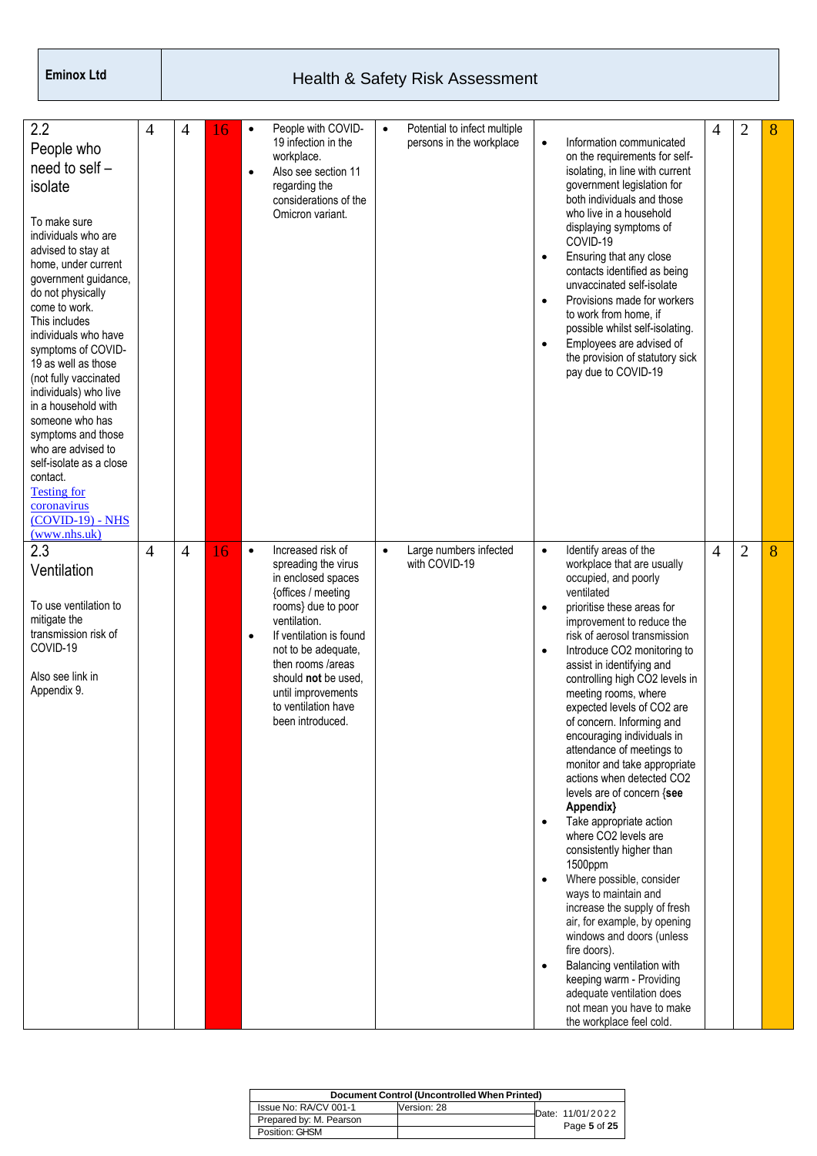| 2.2<br>People who<br>need to self -<br>isolate<br>To make sure<br>individuals who are<br>advised to stay at<br>home, under current<br>government guidance,<br>do not physically<br>come to work.<br>This includes<br>individuals who have<br>symptoms of COVID-<br>19 as well as those<br>(not fully vaccinated<br>individuals) who live<br>in a household with<br>someone who has<br>symptoms and those<br>who are advised to<br>self-isolate as a close<br>contact.<br><b>Testing for</b><br>coronavirus<br>$(COVID-19) - NHS$<br>(www.nhs.uk) | 4              | 4              | 16 | $\bullet$<br>$\bullet$ | People with COVID-<br>19 infection in the<br>workplace.<br>Also see section 11<br>regarding the<br>considerations of the<br>Omicron variant.                                                                                                                                              | $\bullet$ | Potential to infect multiple<br>persons in the workplace | $\bullet$<br>$\bullet$<br>$\bullet$<br>$\bullet$                           | Information communicated<br>on the requirements for self-<br>isolating, in line with current<br>government legislation for<br>both individuals and those<br>who live in a household<br>displaying symptoms of<br>COVID-19<br>Ensuring that any close<br>contacts identified as being<br>unvaccinated self-isolate<br>Provisions made for workers<br>to work from home, if<br>possible whilst self-isolating.<br>Employees are advised of<br>the provision of statutory sick<br>pay due to COVID-19                                                                                                                                                                                                                                                                                                                                                                                                                                                  | 4              | $\overline{2}$ | 8 |
|--------------------------------------------------------------------------------------------------------------------------------------------------------------------------------------------------------------------------------------------------------------------------------------------------------------------------------------------------------------------------------------------------------------------------------------------------------------------------------------------------------------------------------------------------|----------------|----------------|----|------------------------|-------------------------------------------------------------------------------------------------------------------------------------------------------------------------------------------------------------------------------------------------------------------------------------------|-----------|----------------------------------------------------------|----------------------------------------------------------------------------|-----------------------------------------------------------------------------------------------------------------------------------------------------------------------------------------------------------------------------------------------------------------------------------------------------------------------------------------------------------------------------------------------------------------------------------------------------------------------------------------------------------------------------------------------------------------------------------------------------------------------------------------------------------------------------------------------------------------------------------------------------------------------------------------------------------------------------------------------------------------------------------------------------------------------------------------------------|----------------|----------------|---|
| 2.3<br>Ventilation<br>To use ventilation to<br>mitigate the<br>transmission risk of<br>COVID-19<br>Also see link in<br>Appendix 9.                                                                                                                                                                                                                                                                                                                                                                                                               | $\overline{4}$ | $\overline{4}$ | 16 | $\bullet$<br>$\bullet$ | Increased risk of<br>spreading the virus<br>in enclosed spaces<br>{offices / meeting<br>rooms} due to poor<br>ventilation.<br>If ventilation is found<br>not to be adequate,<br>then rooms /areas<br>should not be used,<br>until improvements<br>to ventilation have<br>been introduced. | $\bullet$ | Large numbers infected<br>with COVID-19                  | $\bullet$<br>$\bullet$<br>$\bullet$<br>$\bullet$<br>$\bullet$<br>$\bullet$ | Identify areas of the<br>workplace that are usually<br>occupied, and poorly<br>ventilated<br>prioritise these areas for<br>improvement to reduce the<br>risk of aerosol transmission<br>Introduce CO2 monitoring to<br>assist in identifying and<br>controlling high CO2 levels in<br>meeting rooms, where<br>expected levels of CO2 are<br>of concern. Informing and<br>encouraging individuals in<br>attendance of meetings to<br>monitor and take appropriate<br>actions when detected CO2<br>levels are of concern {see<br>Appendix}<br>Take appropriate action<br>where CO2 levels are<br>consistently higher than<br>1500ppm<br>Where possible, consider<br>ways to maintain and<br>increase the supply of fresh<br>air, for example, by opening<br>windows and doors (unless<br>fire doors).<br>Balancing ventilation with<br>keeping warm - Providing<br>adequate ventilation does<br>not mean you have to make<br>the workplace feel cold. | $\overline{4}$ | $\overline{2}$ | 8 |

|                         | Document Control (Uncontrolled When Printed) |                  |
|-------------------------|----------------------------------------------|------------------|
| Issue No: RA/CV 001-1   | Version: 28                                  | Date: 11/01/2022 |
| Prepared by: M. Pearson |                                              |                  |
| Position: GHSM          |                                              | Page 5 of 25     |
|                         |                                              |                  |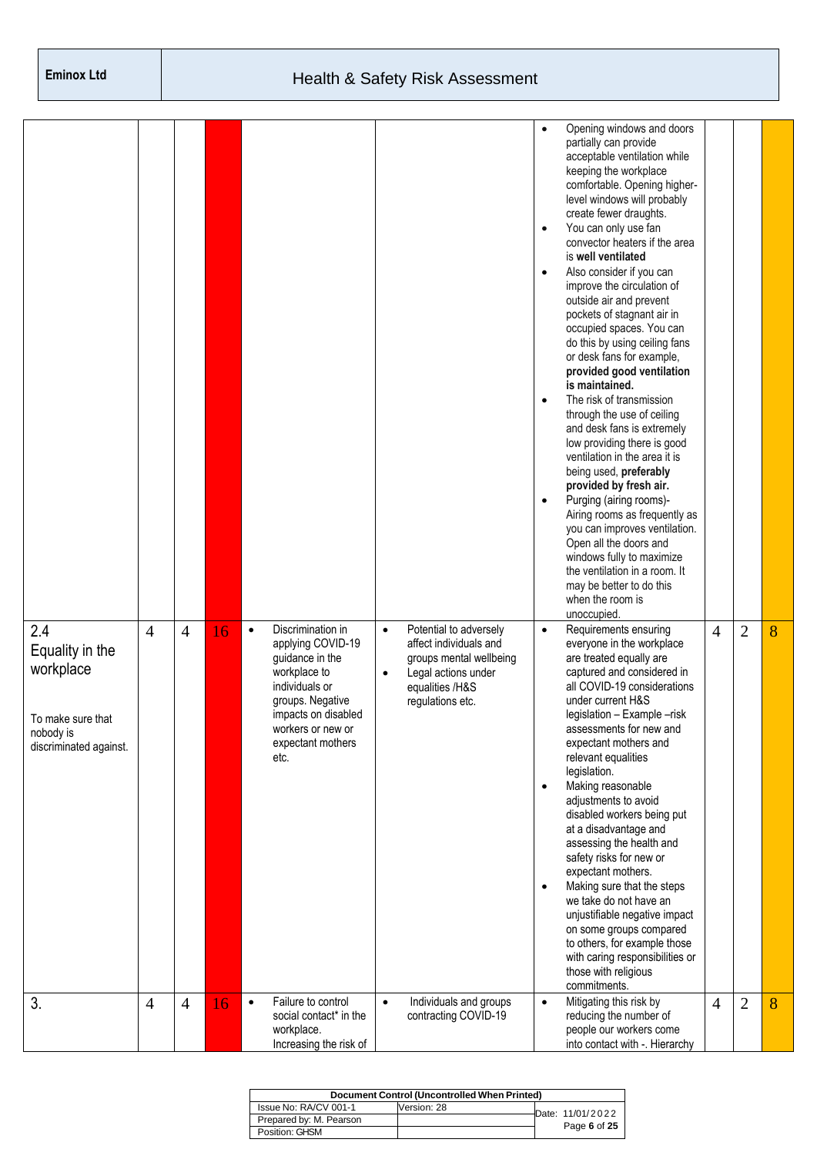|                                                                                                 |                |                |    |           |                                                                                                                                                                                          |                        |                                                                                                                                           | $\bullet$<br>$\bullet$<br>$\bullet$<br>$\bullet$<br>$\bullet$ | Opening windows and doors<br>partially can provide<br>acceptable ventilation while<br>keeping the workplace<br>comfortable. Opening higher-<br>level windows will probably<br>create fewer draughts.<br>You can only use fan<br>convector heaters if the area<br>is well ventilated<br>Also consider if you can<br>improve the circulation of<br>outside air and prevent<br>pockets of stagnant air in<br>occupied spaces. You can<br>do this by using ceiling fans<br>or desk fans for example,<br>provided good ventilation<br>is maintained.<br>The risk of transmission<br>through the use of ceiling<br>and desk fans is extremely<br>low providing there is good<br>ventilation in the area it is<br>being used, preferably<br>provided by fresh air.<br>Purging (airing rooms)-<br>Airing rooms as frequently as<br>you can improves ventilation.<br>Open all the doors and<br>windows fully to maximize<br>the ventilation in a room. It<br>may be better to do this<br>when the room is<br>unoccupied. |                |                |   |
|-------------------------------------------------------------------------------------------------|----------------|----------------|----|-----------|------------------------------------------------------------------------------------------------------------------------------------------------------------------------------------------|------------------------|-------------------------------------------------------------------------------------------------------------------------------------------|---------------------------------------------------------------|-----------------------------------------------------------------------------------------------------------------------------------------------------------------------------------------------------------------------------------------------------------------------------------------------------------------------------------------------------------------------------------------------------------------------------------------------------------------------------------------------------------------------------------------------------------------------------------------------------------------------------------------------------------------------------------------------------------------------------------------------------------------------------------------------------------------------------------------------------------------------------------------------------------------------------------------------------------------------------------------------------------------|----------------|----------------|---|
| 2.4<br>Equality in the<br>workplace<br>To make sure that<br>nobody is<br>discriminated against. | $\overline{4}$ | $\overline{4}$ | 16 | $\bullet$ | Discrimination in<br>applying COVID-19<br>guidance in the<br>workplace to<br>individuals or<br>groups. Negative<br>impacts on disabled<br>workers or new or<br>expectant mothers<br>etc. | $\bullet$<br>$\bullet$ | Potential to adversely<br>affect individuals and<br>groups mental wellbeing<br>Legal actions under<br>equalities /H&S<br>regulations etc. | $\bullet$<br>$\bullet$<br>$\bullet$                           | Requirements ensuring<br>everyone in the workplace<br>are treated equally are<br>captured and considered in<br>all COVID-19 considerations<br>under current H&S<br>legislation - Example -risk<br>assessments for new and<br>expectant mothers and<br>relevant equalities<br>legislation.<br>Making reasonable<br>adjustments to avoid<br>disabled workers being put<br>at a disadvantage and<br>assessing the health and<br>safety risks for new or<br>expectant mothers.<br>Making sure that the steps<br>we take do not have an<br>unjustifiable negative impact<br>on some groups compared<br>to others, for example those<br>with caring responsibilities or<br>those with religious<br>commitments.                                                                                                                                                                                                                                                                                                       | $\overline{4}$ | $\overline{2}$ | 8 |
| 3.                                                                                              | $\overline{4}$ | $\overline{4}$ | 16 | $\bullet$ | Failure to control<br>social contact* in the<br>workplace.<br>Increasing the risk of                                                                                                     | $\bullet$              | Individuals and groups<br>contracting COVID-19                                                                                            | $\bullet$                                                     | Mitigating this risk by<br>reducing the number of<br>people our workers come<br>into contact with -. Hierarchy                                                                                                                                                                                                                                                                                                                                                                                                                                                                                                                                                                                                                                                                                                                                                                                                                                                                                                  | $\overline{4}$ | $\overline{2}$ | 8 |

| Document Control (Uncontrolled When Printed) |             |  |                  |  |  |  |  |  |  |  |  |
|----------------------------------------------|-------------|--|------------------|--|--|--|--|--|--|--|--|
| Issue No: RA/CV 001-1                        | Version: 28 |  | Date: 11/01/2022 |  |  |  |  |  |  |  |  |
| Prepared by: M. Pearson                      |             |  |                  |  |  |  |  |  |  |  |  |
| Position: GHSM                               |             |  | Page 6 of 25     |  |  |  |  |  |  |  |  |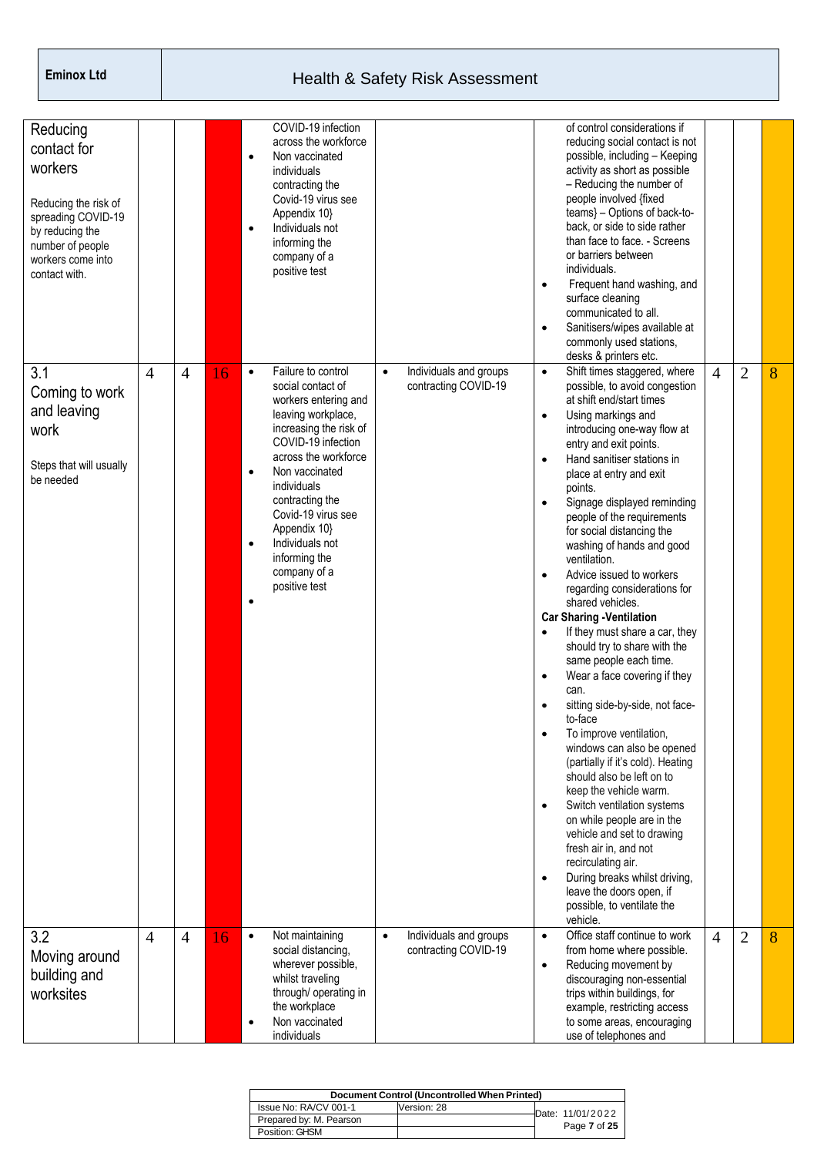| Reducing<br>contact for<br>workers<br>Reducing the risk of<br>spreading COVID-19<br>by reducing the<br>number of people<br>workers come into<br>contact with. |                |                |    | $\bullet$                           | COVID-19 infection<br>across the workforce<br>Non vaccinated<br>individuals<br>contracting the<br>Covid-19 virus see<br>Appendix 10}<br>Individuals not<br>informing the<br>company of a<br>positive test                                                                                                                    |           |                                                | $\bullet$<br>$\bullet$                                                                                                                      | of control considerations if<br>reducing social contact is not<br>possible, including - Keeping<br>activity as short as possible<br>- Reducing the number of<br>people involved {fixed<br>teams} - Options of back-to-<br>back, or side to side rather<br>than face to face. - Screens<br>or barriers between<br>individuals.<br>Frequent hand washing, and<br>surface cleaning<br>communicated to all.<br>Sanitisers/wipes available at<br>commonly used stations,<br>desks & printers etc.                                                                                                                                                                                                                                                                                                                                                                                                                                                                                                                                                                                                  |                |                |   |
|---------------------------------------------------------------------------------------------------------------------------------------------------------------|----------------|----------------|----|-------------------------------------|------------------------------------------------------------------------------------------------------------------------------------------------------------------------------------------------------------------------------------------------------------------------------------------------------------------------------|-----------|------------------------------------------------|---------------------------------------------------------------------------------------------------------------------------------------------|-----------------------------------------------------------------------------------------------------------------------------------------------------------------------------------------------------------------------------------------------------------------------------------------------------------------------------------------------------------------------------------------------------------------------------------------------------------------------------------------------------------------------------------------------------------------------------------------------------------------------------------------------------------------------------------------------------------------------------------------------------------------------------------------------------------------------------------------------------------------------------------------------------------------------------------------------------------------------------------------------------------------------------------------------------------------------------------------------|----------------|----------------|---|
| 3.1<br>Coming to work<br>and leaving<br>work<br>Steps that will usually<br>be needed                                                                          | $\overline{4}$ | $\overline{4}$ | 16 | $\bullet$<br>$\bullet$<br>$\bullet$ | Failure to control<br>social contact of<br>workers entering and<br>leaving workplace,<br>increasing the risk of<br>COVID-19 infection<br>across the workforce<br>Non vaccinated<br>individuals<br>contracting the<br>Covid-19 virus see<br>Appendix 10}<br>Individuals not<br>informing the<br>company of a<br>positive test | $\bullet$ | Individuals and groups<br>contracting COVID-19 | $\bullet$<br>$\bullet$<br>$\bullet$<br>$\bullet$<br>$\bullet$<br>$\bullet$<br>$\bullet$<br>$\bullet$<br>$\bullet$<br>$\bullet$<br>$\bullet$ | Shift times staggered, where<br>possible, to avoid congestion<br>at shift end/start times<br>Using markings and<br>introducing one-way flow at<br>entry and exit points.<br>Hand sanitiser stations in<br>place at entry and exit<br>points.<br>Signage displayed reminding<br>people of the requirements<br>for social distancing the<br>washing of hands and good<br>ventilation.<br>Advice issued to workers<br>regarding considerations for<br>shared vehicles.<br><b>Car Sharing -Ventilation</b><br>If they must share a car, they<br>should try to share with the<br>same people each time.<br>Wear a face covering if they<br>can.<br>sitting side-by-side, not face-<br>to-face<br>To improve ventilation,<br>windows can also be opened<br>(partially if it's cold). Heating<br>should also be left on to<br>keep the vehicle warm.<br>Switch ventilation systems<br>on while people are in the<br>vehicle and set to drawing<br>fresh air in, and not<br>recirculating air.<br>During breaks whilst driving,<br>leave the doors open, if<br>possible, to ventilate the<br>vehicle. | $\overline{4}$ | $\overline{2}$ | 8 |
| 3.2<br>Moving around<br>building and<br>worksites                                                                                                             | $\overline{4}$ | $\overline{4}$ | 16 | $\bullet$                           | Not maintaining<br>social distancing,<br>wherever possible,<br>whilst traveling<br>through/ operating in<br>the workplace<br>Non vaccinated<br>individuals                                                                                                                                                                   | $\bullet$ | Individuals and groups<br>contracting COVID-19 | $\bullet$<br>$\bullet$                                                                                                                      | Office staff continue to work<br>from home where possible.<br>Reducing movement by<br>discouraging non-essential<br>trips within buildings, for<br>example, restricting access<br>to some areas, encouraging<br>use of telephones and                                                                                                                                                                                                                                                                                                                                                                                                                                                                                                                                                                                                                                                                                                                                                                                                                                                         | $\overline{4}$ | $\overline{2}$ | 8 |

| Document Control (Uncontrolled When Printed) |             |  |                  |  |  |  |  |  |  |
|----------------------------------------------|-------------|--|------------------|--|--|--|--|--|--|
| Issue No: RA/CV 001-1                        | Version: 28 |  | Date: 11/01/2022 |  |  |  |  |  |  |
| Prepared by: M. Pearson                      |             |  | Page 7 of 25     |  |  |  |  |  |  |
| Position: GHSM                               |             |  |                  |  |  |  |  |  |  |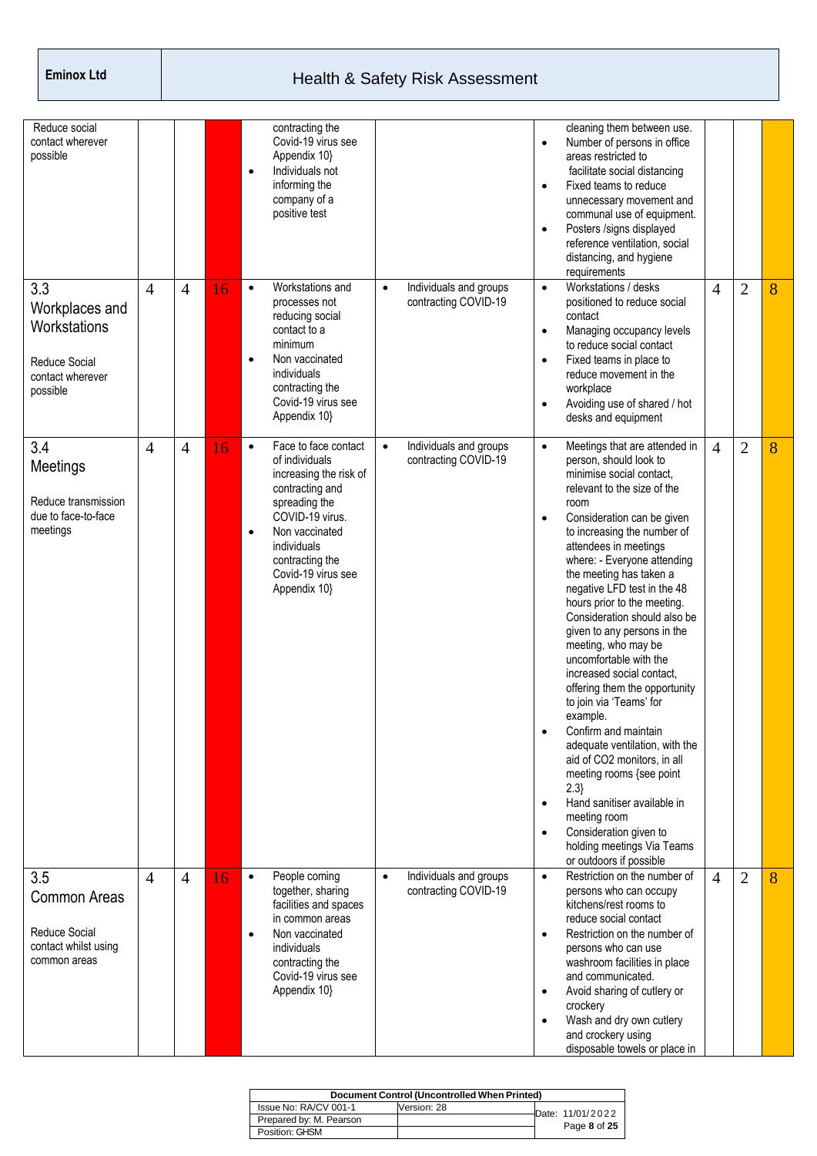| Reduce social                                                                                 |                |                |    |                        | contracting the                                                                                                                                                                                                   |           |                                                |                                                  | cleaning them between use.                                                                                                                                                                                                                                                                                                                                                                                                                                                                                                                                                                                                                                                                                                                                                                                                  |                |                |   |
|-----------------------------------------------------------------------------------------------|----------------|----------------|----|------------------------|-------------------------------------------------------------------------------------------------------------------------------------------------------------------------------------------------------------------|-----------|------------------------------------------------|--------------------------------------------------|-----------------------------------------------------------------------------------------------------------------------------------------------------------------------------------------------------------------------------------------------------------------------------------------------------------------------------------------------------------------------------------------------------------------------------------------------------------------------------------------------------------------------------------------------------------------------------------------------------------------------------------------------------------------------------------------------------------------------------------------------------------------------------------------------------------------------------|----------------|----------------|---|
| contact wherever<br>possible                                                                  |                |                |    | $\bullet$              | Covid-19 virus see<br>Appendix 10}<br>Individuals not<br>informing the<br>company of a<br>positive test                                                                                                           |           |                                                | $\bullet$<br>$\bullet$<br>$\bullet$              | Number of persons in office<br>areas restricted to<br>facilitate social distancing<br>Fixed teams to reduce<br>unnecessary movement and<br>communal use of equipment.<br>Posters /signs displayed<br>reference ventilation, social<br>distancing, and hygiene<br>requirements                                                                                                                                                                                                                                                                                                                                                                                                                                                                                                                                               |                |                |   |
| 3.3<br>Workplaces and<br>Workstations<br><b>Reduce Social</b><br>contact wherever<br>possible | $\overline{4}$ | $\overline{4}$ | 16 | $\bullet$<br>$\bullet$ | Workstations and<br>processes not<br>reducing social<br>contact to a<br>minimum<br>Non vaccinated<br>individuals<br>contracting the<br>Covid-19 virus see<br>Appendix 10}                                         | $\bullet$ | Individuals and groups<br>contracting COVID-19 | $\bullet$<br>$\bullet$<br>$\bullet$<br>$\bullet$ | Workstations / desks<br>positioned to reduce social<br>contact<br>Managing occupancy levels<br>to reduce social contact<br>Fixed teams in place to<br>reduce movement in the<br>workplace<br>Avoiding use of shared / hot<br>desks and equipment                                                                                                                                                                                                                                                                                                                                                                                                                                                                                                                                                                            | $\overline{4}$ | $\overline{2}$ | 8 |
| 3.4<br>Meetings<br>Reduce transmission<br>due to face-to-face<br>meetings                     | 4              | $\overline{4}$ | 16 | $\bullet$<br>$\bullet$ | Face to face contact<br>of individuals<br>increasing the risk of<br>contracting and<br>spreading the<br>COVID-19 virus.<br>Non vaccinated<br>individuals<br>contracting the<br>Covid-19 virus see<br>Appendix 10} | $\bullet$ | Individuals and groups<br>contracting COVID-19 | $\bullet$<br>$\bullet$<br>$\bullet$<br>$\bullet$ | Meetings that are attended in<br>person, should look to<br>minimise social contact.<br>relevant to the size of the<br>room<br>Consideration can be given<br>to increasing the number of<br>attendees in meetings<br>where: - Everyone attending<br>the meeting has taken a<br>negative LFD test in the 48<br>hours prior to the meeting.<br>Consideration should also be<br>given to any persons in the<br>meeting, who may be<br>uncomfortable with the<br>increased social contact,<br>offering them the opportunity<br>to join via 'Teams' for<br>example.<br>Confirm and maintain<br>adequate ventilation, with the<br>aid of CO2 monitors, in all<br>meeting rooms {see point<br>2.3<br>Hand sanitiser available in<br>meeting room<br>Consideration given to<br>holding meetings Via Teams<br>or outdoors if possible | $\overline{4}$ | $\overline{2}$ | 8 |
| 3.5<br>Common Areas<br><b>Reduce Social</b><br>contact whilst using<br>common areas           | $\overline{4}$ | $\overline{4}$ | 16 | $\bullet$<br>$\bullet$ | People coming<br>together, sharing<br>facilities and spaces<br>in common areas<br>Non vaccinated<br>individuals<br>contracting the<br>Covid-19 virus see<br>Appendix 10}                                          | $\bullet$ | Individuals and groups<br>contracting COVID-19 | $\bullet$<br>$\bullet$<br>$\bullet$<br>$\bullet$ | Restriction on the number of<br>persons who can occupy<br>kitchens/rest rooms to<br>reduce social contact<br>Restriction on the number of<br>persons who can use<br>washroom facilities in place<br>and communicated.<br>Avoid sharing of cutlery or<br>crockery<br>Wash and dry own cutlery<br>and crockery using<br>disposable towels or place in                                                                                                                                                                                                                                                                                                                                                                                                                                                                         | $\overline{4}$ | $\overline{2}$ | 8 |

| Document Control (Uncontrolled When Printed) |             |  |                  |  |  |  |  |  |  |  |
|----------------------------------------------|-------------|--|------------------|--|--|--|--|--|--|--|
| Issue No: RA/CV 001-1                        | Version: 28 |  | Date: 11/01/2022 |  |  |  |  |  |  |  |
| Prepared by: M. Pearson                      |             |  |                  |  |  |  |  |  |  |  |
| Position: GHSM                               |             |  | Page 8 of 25     |  |  |  |  |  |  |  |
|                                              |             |  |                  |  |  |  |  |  |  |  |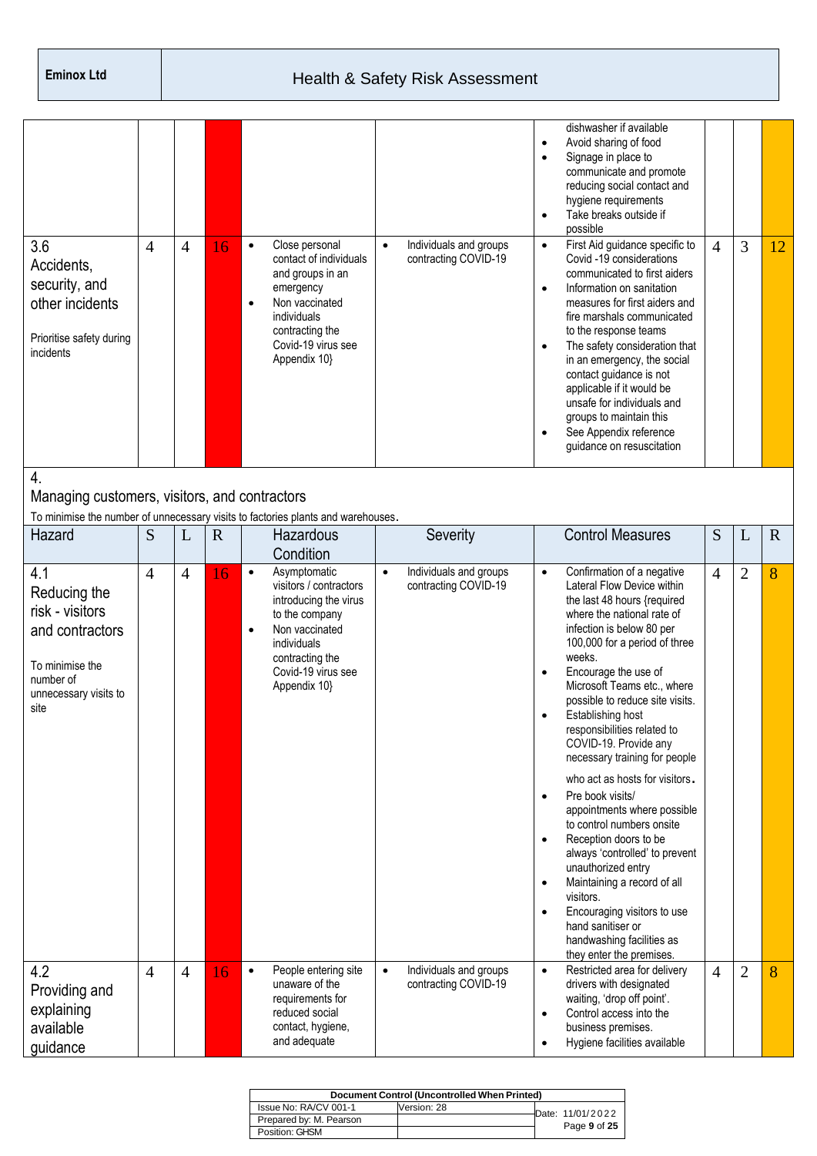| 3.6                                                                                                                        | 4              | $\overline{4}$ | 16          | $\bullet$              | Close personal<br>contact of individuals                                                                                                                                    | $\bullet$ | Individuals and groups<br>contracting COVID-19 | $\bullet$<br>$\bullet$<br>$\bullet$<br>$\bullet$                           | dishwasher if available<br>Avoid sharing of food<br>Signage in place to<br>communicate and promote<br>reducing social contact and<br>hygiene requirements<br>Take breaks outside if<br>possible<br>First Aid guidance specific to<br>Covid -19 considerations                                                                                                                                                                                                                                                                                                                                                                                                                                                                                                     | $\overline{4}$ | 3              | 12          |
|----------------------------------------------------------------------------------------------------------------------------|----------------|----------------|-------------|------------------------|-----------------------------------------------------------------------------------------------------------------------------------------------------------------------------|-----------|------------------------------------------------|----------------------------------------------------------------------------|-------------------------------------------------------------------------------------------------------------------------------------------------------------------------------------------------------------------------------------------------------------------------------------------------------------------------------------------------------------------------------------------------------------------------------------------------------------------------------------------------------------------------------------------------------------------------------------------------------------------------------------------------------------------------------------------------------------------------------------------------------------------|----------------|----------------|-------------|
| Accidents,<br>security, and<br>other incidents<br>Prioritise safety during<br>incidents                                    |                |                |             | $\bullet$              | and groups in an<br>emergency<br>Non vaccinated<br>individuals<br>contracting the<br>Covid-19 virus see<br>Appendix 10}                                                     |           |                                                | $\bullet$<br>$\bullet$<br>$\bullet$                                        | communicated to first aiders<br>Information on sanitation<br>measures for first aiders and<br>fire marshals communicated<br>to the response teams<br>The safety consideration that<br>in an emergency, the social<br>contact guidance is not<br>applicable if it would be<br>unsafe for individuals and<br>groups to maintain this<br>See Appendix reference<br>guidance on resuscitation                                                                                                                                                                                                                                                                                                                                                                         |                |                |             |
| 4.<br>Managing customers, visitors, and contractors                                                                        |                |                |             |                        | To minimise the number of unnecessary visits to factories plants and warehouses.                                                                                            |           |                                                |                                                                            |                                                                                                                                                                                                                                                                                                                                                                                                                                                                                                                                                                                                                                                                                                                                                                   |                |                |             |
| Hazard                                                                                                                     | S              | L              | $\mathbf R$ |                        | Hazardous<br>Condition                                                                                                                                                      |           | Severity                                       |                                                                            | <b>Control Measures</b>                                                                                                                                                                                                                                                                                                                                                                                                                                                                                                                                                                                                                                                                                                                                           | S              | L              | $\mathbf R$ |
| 4.1<br>Reducing the<br>risk - visitors<br>and contractors<br>To minimise the<br>number of<br>unnecessary visits to<br>site | 4              | $\overline{4}$ | 16          | $\bullet$<br>$\bullet$ | Asymptomatic<br>visitors / contractors<br>introducing the virus<br>to the company<br>Non vaccinated<br>individuals<br>contracting the<br>Covid-19 virus see<br>Appendix 10} | $\bullet$ | Individuals and groups<br>contracting COVID-19 | $\bullet$<br>$\bullet$<br>$\bullet$<br>$\bullet$<br>$\bullet$<br>$\bullet$ | Confirmation of a negative<br>Lateral Flow Device within<br>the last 48 hours {required<br>where the national rate of<br>infection is below 80 per<br>100,000 for a period of three<br>weeks.<br>Encourage the use of<br>Microsoft Teams etc., where<br>possible to reduce site visits.<br>Establishing host<br>responsibilities related to<br>COVID-19. Provide any<br>necessary training for people<br>who act as hosts for visitors.<br>Pre book visits/<br>appointments where possible<br>to control numbers onsite<br>Reception doors to be<br>always 'controlled' to prevent<br>unauthorized entry<br>Maintaining a record of all<br>visitors.<br>Encouraging visitors to use<br>hand sanitiser or<br>handwashing facilities as<br>they enter the premises. | $\overline{4}$ | $\overline{2}$ | 8           |
| 4.2<br>Providing and<br>explaining<br>available<br>guidance                                                                | $\overline{4}$ | $\overline{4}$ | 16          | $\bullet$              | People entering site<br>unaware of the<br>requirements for<br>reduced social<br>contact, hygiene,<br>and adequate                                                           | $\bullet$ | Individuals and groups<br>contracting COVID-19 | $\bullet$<br>$\bullet$<br>$\bullet$                                        | Restricted area for delivery<br>drivers with designated<br>waiting, 'drop off point'.<br>Control access into the<br>business premises.<br>Hygiene facilities available                                                                                                                                                                                                                                                                                                                                                                                                                                                                                                                                                                                            | $\overline{4}$ | $\mathfrak{2}$ | 8           |

| Document Control (Uncontrolled When Printed) |             |  |                    |  |  |  |  |  |  |
|----------------------------------------------|-------------|--|--------------------|--|--|--|--|--|--|
| Issue No: RA/CV 001-1                        | Version: 28 |  | Date: $11/01/2022$ |  |  |  |  |  |  |
| Prepared by: M. Pearson                      |             |  |                    |  |  |  |  |  |  |
| Position: GHSM                               |             |  | Page 9 of 25       |  |  |  |  |  |  |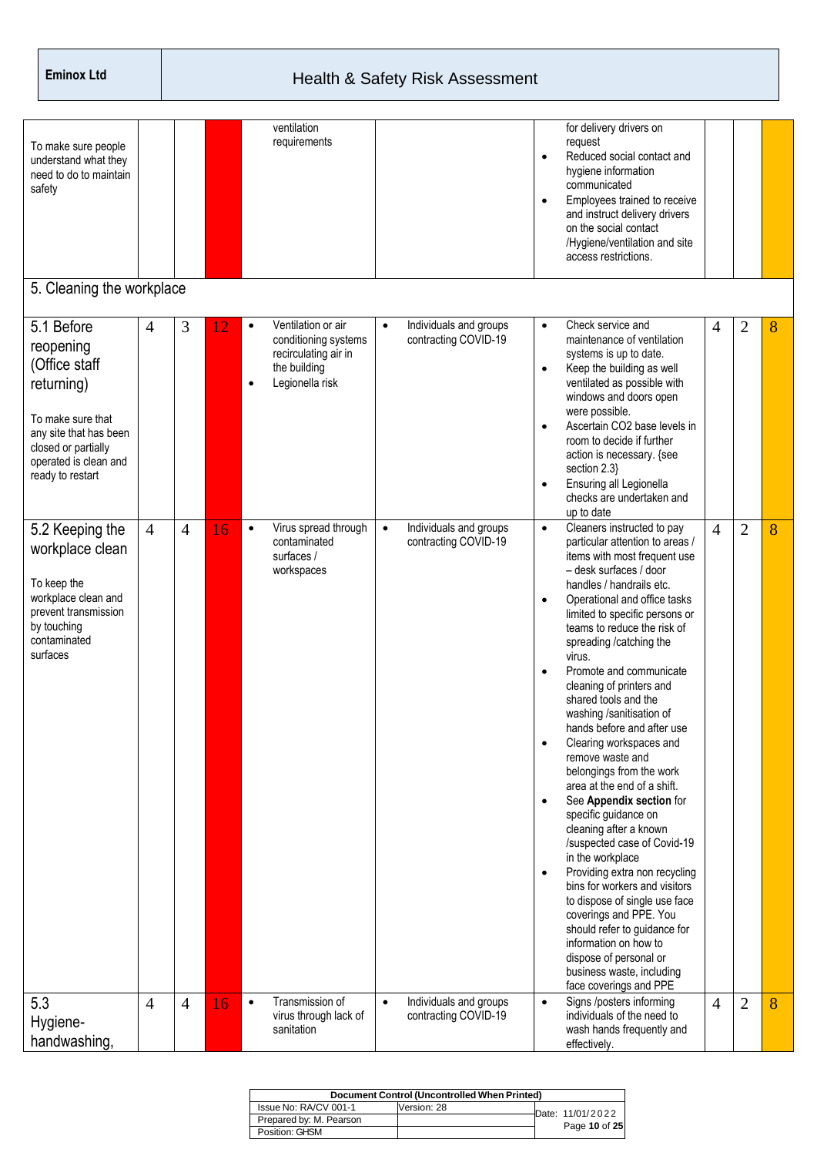| To make sure people<br>understand what they<br>need to do to maintain<br>safety<br>5. Cleaning the workplace                                                              |                |                |    |           | ventilation<br>requirements                                                                           |           |                                                | $\bullet$<br>$\bullet$                                                     | for delivery drivers on<br>request<br>Reduced social contact and<br>hygiene information<br>communicated<br>Employees trained to receive<br>and instruct delivery drivers<br>on the social contact<br>/Hygiene/ventilation and site<br>access restrictions.                                                                                                                                                                                                                                                                                                                                                                                                                                                                                                                                                                                                                                                                                           |                |                |   |
|---------------------------------------------------------------------------------------------------------------------------------------------------------------------------|----------------|----------------|----|-----------|-------------------------------------------------------------------------------------------------------|-----------|------------------------------------------------|----------------------------------------------------------------------------|------------------------------------------------------------------------------------------------------------------------------------------------------------------------------------------------------------------------------------------------------------------------------------------------------------------------------------------------------------------------------------------------------------------------------------------------------------------------------------------------------------------------------------------------------------------------------------------------------------------------------------------------------------------------------------------------------------------------------------------------------------------------------------------------------------------------------------------------------------------------------------------------------------------------------------------------------|----------------|----------------|---|
| 5.1 Before<br>reopening<br>(Office staff<br>returning)<br>To make sure that<br>any site that has been<br>closed or partially<br>operated is clean and<br>ready to restart | 4              | 3              | 12 | $\bullet$ | Ventilation or air<br>conditioning systems<br>recirculating air in<br>the building<br>Legionella risk | $\bullet$ | Individuals and groups<br>contracting COVID-19 | $\bullet$<br>$\bullet$<br>$\bullet$<br>$\bullet$                           | Check service and<br>maintenance of ventilation<br>systems is up to date.<br>Keep the building as well<br>ventilated as possible with<br>windows and doors open<br>were possible.<br>Ascertain CO2 base levels in<br>room to decide if further<br>action is necessary. {see<br>section 2.3}<br>Ensuring all Legionella<br>checks are undertaken and<br>up to date                                                                                                                                                                                                                                                                                                                                                                                                                                                                                                                                                                                    | $\overline{4}$ | 2              | 8 |
| 5.2 Keeping the<br>workplace clean<br>To keep the<br>workplace clean and<br>prevent transmission<br>by touching<br>contaminated<br>surfaces                               | $\overline{4}$ | $\overline{4}$ | 16 | $\bullet$ | Virus spread through<br>contaminated<br>surfaces /<br>workspaces                                      | $\bullet$ | Individuals and groups<br>contracting COVID-19 | $\bullet$<br>$\bullet$<br>$\bullet$<br>$\bullet$<br>$\bullet$<br>$\bullet$ | Cleaners instructed to pay<br>particular attention to areas /<br>items with most frequent use<br>- desk surfaces / door<br>handles / handrails etc.<br>Operational and office tasks<br>limited to specific persons or<br>teams to reduce the risk of<br>spreading /catching the<br>virus.<br>Promote and communicate<br>cleaning of printers and<br>shared tools and the<br>washing /sanitisation of<br>hands before and after use<br>Clearing workspaces and<br>remove waste and<br>belongings from the work<br>area at the end of a shift.<br>See Appendix section for<br>specific guidance on<br>cleaning after a known<br>/suspected case of Covid-19<br>in the workplace<br>Providing extra non recycling<br>bins for workers and visitors<br>to dispose of single use face<br>coverings and PPE. You<br>should refer to guidance for<br>information on how to<br>dispose of personal or<br>business waste, including<br>face coverings and PPE | $\overline{4}$ | $\overline{2}$ | 8 |
| 5.3<br>Hygiene-<br>handwashing,                                                                                                                                           | $\overline{4}$ | $\overline{4}$ | 16 | $\bullet$ | Transmission of<br>virus through lack of<br>sanitation                                                | $\bullet$ | Individuals and groups<br>contracting COVID-19 | $\bullet$                                                                  | Signs /posters informing<br>individuals of the need to<br>wash hands frequently and<br>effectively.                                                                                                                                                                                                                                                                                                                                                                                                                                                                                                                                                                                                                                                                                                                                                                                                                                                  | $\overline{4}$ | $\overline{2}$ | 8 |

| Document Control (Uncontrolled When Printed) |             |  |                  |  |  |  |  |  |  |
|----------------------------------------------|-------------|--|------------------|--|--|--|--|--|--|
| Issue No: RA/CV 001-1                        | Version: 28 |  | Date: 11/01/2022 |  |  |  |  |  |  |
| Prepared by: M. Pearson                      |             |  | Page 10 of 25    |  |  |  |  |  |  |
| Position: GHSM                               |             |  |                  |  |  |  |  |  |  |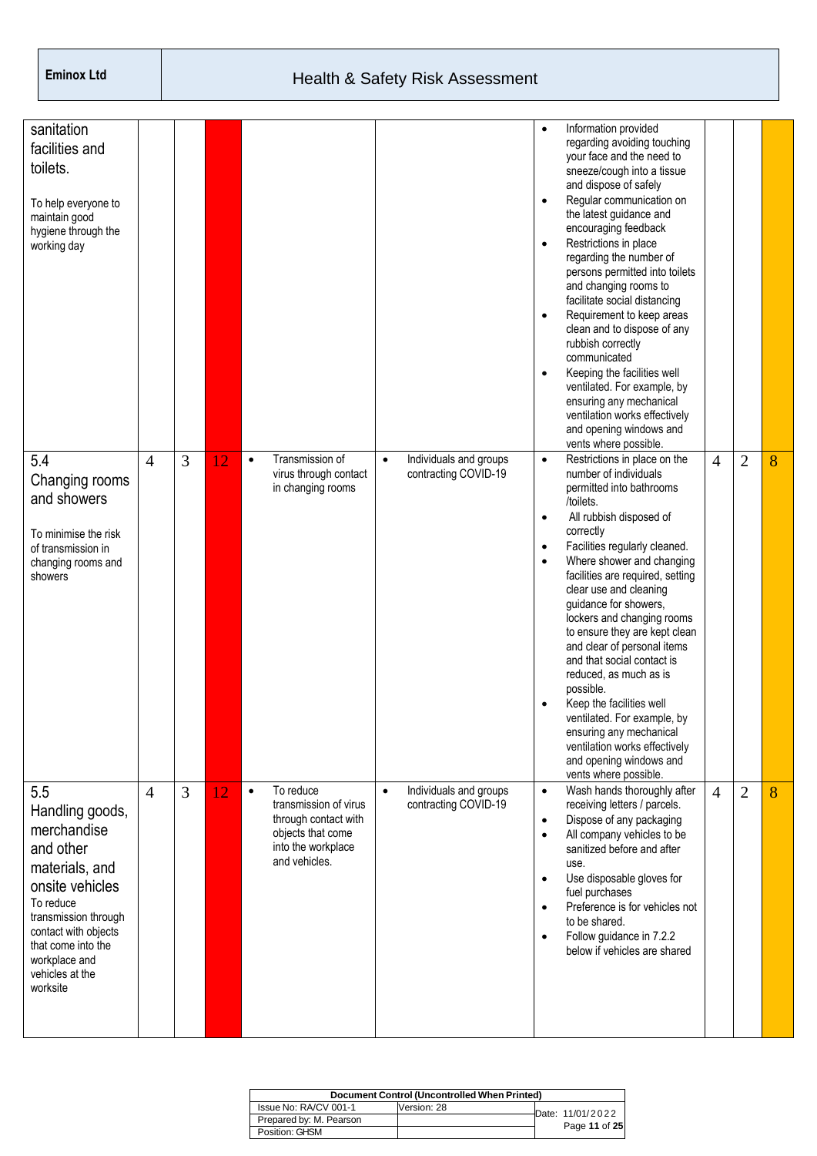| sanitation<br>facilities and<br>toilets.<br>To help everyone to<br>maintain good<br>hygiene through the<br>working day                                                                                                     |                |                |    |                                                                                                                                     |                                                             | $\bullet$<br>$\bullet$<br>$\bullet$<br>$\bullet$<br>$\bullet$              | Information provided<br>regarding avoiding touching<br>your face and the need to<br>sneeze/cough into a tissue<br>and dispose of safely<br>Regular communication on<br>the latest guidance and<br>encouraging feedback<br>Restrictions in place<br>regarding the number of<br>persons permitted into toilets<br>and changing rooms to<br>facilitate social distancing<br>Requirement to keep areas<br>clean and to dispose of any<br>rubbish correctly<br>communicated<br>Keeping the facilities well<br>ventilated. For example, by<br>ensuring any mechanical<br>ventilation works effectively<br>and opening windows and<br>vents where possible. |                |                |   |
|----------------------------------------------------------------------------------------------------------------------------------------------------------------------------------------------------------------------------|----------------|----------------|----|-------------------------------------------------------------------------------------------------------------------------------------|-------------------------------------------------------------|----------------------------------------------------------------------------|------------------------------------------------------------------------------------------------------------------------------------------------------------------------------------------------------------------------------------------------------------------------------------------------------------------------------------------------------------------------------------------------------------------------------------------------------------------------------------------------------------------------------------------------------------------------------------------------------------------------------------------------------|----------------|----------------|---|
| 5.4<br>Changing rooms<br>and showers<br>To minimise the risk<br>of transmission in<br>changing rooms and<br>showers                                                                                                        | $\overline{4}$ | 3              | 12 | Transmission of<br>$\bullet$<br>virus through contact<br>in changing rooms                                                          | Individuals and groups<br>$\bullet$<br>contracting COVID-19 | $\bullet$<br>$\bullet$<br>$\bullet$<br>$\bullet$<br>$\bullet$              | Restrictions in place on the<br>number of individuals<br>permitted into bathrooms<br>/toilets.<br>All rubbish disposed of<br>correctly<br>Facilities regularly cleaned.<br>Where shower and changing<br>facilities are required, setting<br>clear use and cleaning<br>guidance for showers,<br>lockers and changing rooms<br>to ensure they are kept clean<br>and clear of personal items<br>and that social contact is<br>reduced, as much as is<br>possible.<br>Keep the facilities well<br>ventilated. For example, by<br>ensuring any mechanical<br>ventilation works effectively<br>and opening windows and<br>vents where possible.            | 4              | $\overline{2}$ | 8 |
| 5.5<br>Handling goods,<br>merchandise<br>and other<br>materials, and<br>onsite vehicles<br>To reduce<br>transmission through<br>contact with objects<br>that come into the<br>workplace and<br>vehicles at the<br>worksite | $\overline{4}$ | $\overline{3}$ | 12 | To reduce<br>$\bullet$<br>transmission of virus<br>through contact with<br>objects that come<br>into the workplace<br>and vehicles. | Individuals and groups<br>$\bullet$<br>contracting COVID-19 | $\bullet$<br>$\bullet$<br>$\bullet$<br>$\bullet$<br>$\bullet$<br>$\bullet$ | Wash hands thoroughly after<br>receiving letters / parcels.<br>Dispose of any packaging<br>All company vehicles to be<br>sanitized before and after<br>use.<br>Use disposable gloves for<br>fuel purchases<br>Preference is for vehicles not<br>to be shared.<br>Follow guidance in 7.2.2<br>below if vehicles are shared                                                                                                                                                                                                                                                                                                                            | $\overline{4}$ | $\overline{2}$ | 8 |

| Document Control (Uncontrolled When Printed) |             |  |                  |  |  |  |  |  |  |
|----------------------------------------------|-------------|--|------------------|--|--|--|--|--|--|
| Issue No: RA/CV 001-1                        | Version: 28 |  | Date: 11/01/2022 |  |  |  |  |  |  |
| Prepared by: M. Pearson                      |             |  | Page 11 of 25    |  |  |  |  |  |  |
| Position: GHSM                               |             |  |                  |  |  |  |  |  |  |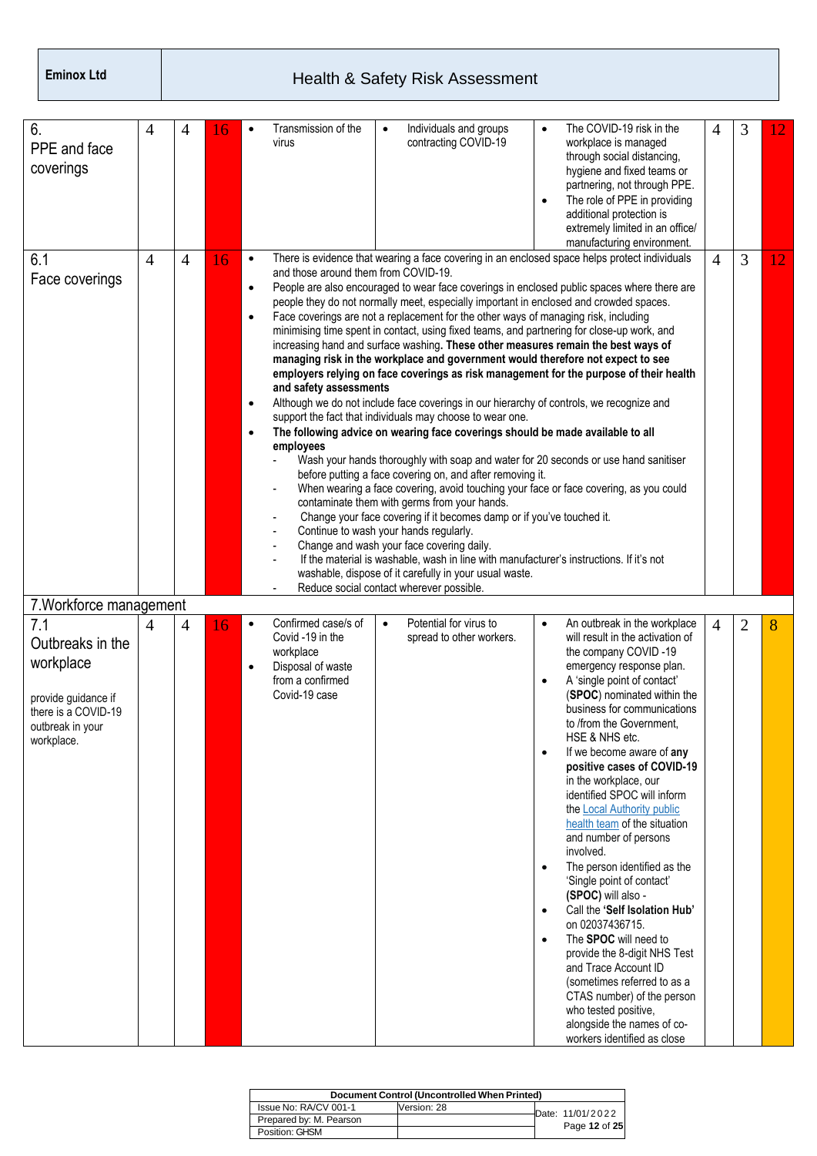| 6.<br>PPE and face<br>coverings                                                                                      | 4              | 4              | 6  |                                                       | Transmission of the<br>virus                                                                                          |           | Individuals and groups<br>contracting COVID-19                                                                                                                                                                                                                                                                                                                                                                                                                                                                                                                                                                                                                                                                                                                                                                                                                                                                                                                                                                                                                                                                                     | $\bullet$<br>$\bullet$                                                     | The COVID-19 risk in the<br>workplace is managed<br>through social distancing,<br>hygiene and fixed teams or<br>partnering, not through PPE.<br>The role of PPE in providing<br>additional protection is<br>extremely limited in an office/<br>manufacturing environment.                                                                                                                                                                                                                                                                                                                                                                                                                                                                                                                                                                                        | 4              | 3 | 12 |
|----------------------------------------------------------------------------------------------------------------------|----------------|----------------|----|-------------------------------------------------------|-----------------------------------------------------------------------------------------------------------------------|-----------|------------------------------------------------------------------------------------------------------------------------------------------------------------------------------------------------------------------------------------------------------------------------------------------------------------------------------------------------------------------------------------------------------------------------------------------------------------------------------------------------------------------------------------------------------------------------------------------------------------------------------------------------------------------------------------------------------------------------------------------------------------------------------------------------------------------------------------------------------------------------------------------------------------------------------------------------------------------------------------------------------------------------------------------------------------------------------------------------------------------------------------|----------------------------------------------------------------------------|------------------------------------------------------------------------------------------------------------------------------------------------------------------------------------------------------------------------------------------------------------------------------------------------------------------------------------------------------------------------------------------------------------------------------------------------------------------------------------------------------------------------------------------------------------------------------------------------------------------------------------------------------------------------------------------------------------------------------------------------------------------------------------------------------------------------------------------------------------------|----------------|---|----|
| 6.1<br>Face coverings                                                                                                | $\overline{4}$ | $\overline{4}$ | 16 | $\bullet$<br>٠<br>$\bullet$<br>$\bullet$<br>$\bullet$ | and those around them from COVID-19.<br>and safety assessments<br>employees<br>Continue to wash your hands regularly. |           | people they do not normally meet, especially important in enclosed and crowded spaces.<br>Face coverings are not a replacement for the other ways of managing risk, including<br>minimising time spent in contact, using fixed teams, and partnering for close-up work, and<br>increasing hand and surface washing. These other measures remain the best ways of<br>managing risk in the workplace and government would therefore not expect to see<br>Although we do not include face coverings in our hierarchy of controls, we recognize and<br>support the fact that individuals may choose to wear one.<br>The following advice on wearing face coverings should be made available to all<br>before putting a face covering on, and after removing it.<br>contaminate them with germs from your hands.<br>Change your face covering if it becomes damp or if you've touched it.<br>Change and wash your face covering daily.<br>If the material is washable, wash in line with manufacturer's instructions. If it's not<br>washable, dispose of it carefully in your usual waste.<br>Reduce social contact wherever possible. |                                                                            | There is evidence that wearing a face covering in an enclosed space helps protect individuals<br>People are also encouraged to wear face coverings in enclosed public spaces where there are<br>employers relying on face coverings as risk management for the purpose of their health<br>Wash your hands thoroughly with soap and water for 20 seconds or use hand sanitiser<br>When wearing a face covering, avoid touching your face or face covering, as you could                                                                                                                                                                                                                                                                                                                                                                                           | 4              | 3 | 12 |
| 7. Workforce management                                                                                              |                |                |    |                                                       |                                                                                                                       |           |                                                                                                                                                                                                                                                                                                                                                                                                                                                                                                                                                                                                                                                                                                                                                                                                                                                                                                                                                                                                                                                                                                                                    |                                                                            |                                                                                                                                                                                                                                                                                                                                                                                                                                                                                                                                                                                                                                                                                                                                                                                                                                                                  |                |   |    |
| 7.1<br>Outbreaks in the<br>workplace<br>provide guidance if<br>there is a COVID-19<br>outbreak in your<br>workplace. | $\overline{4}$ | 4              | 16 | $\bullet$                                             | Confirmed case/s of<br>Covid -19 in the<br>workplace<br>Disposal of waste<br>from a confirmed<br>Covid-19 case        | $\bullet$ | Potential for virus to<br>spread to other workers.                                                                                                                                                                                                                                                                                                                                                                                                                                                                                                                                                                                                                                                                                                                                                                                                                                                                                                                                                                                                                                                                                 | $\bullet$<br>$\bullet$<br>$\bullet$<br>$\bullet$<br>$\bullet$<br>$\bullet$ | An outbreak in the workplace<br>will result in the activation of<br>the company COVID-19<br>emergency response plan.<br>A 'single point of contact'<br>(SPOC) nominated within the<br>business for communications<br>to /from the Government.<br>HSE & NHS etc.<br>If we become aware of any<br>positive cases of COVID-19<br>in the workplace, our<br>identified SPOC will inform<br>the Local Authority public<br>health team of the situation<br>and number of persons<br>involved.<br>The person identified as the<br>'Single point of contact'<br>(SPOC) will also -<br>Call the 'Self Isolation Hub'<br>on 02037436715.<br>The SPOC will need to<br>provide the 8-digit NHS Test<br>and Trace Account ID<br>(sometimes referred to as a<br>CTAS number) of the person<br>who tested positive,<br>alongside the names of co-<br>workers identified as close | $\overline{4}$ | 2 | 8  |

| Document Control (Uncontrolled When Printed) |             |  |                  |  |  |  |  |  |  |
|----------------------------------------------|-------------|--|------------------|--|--|--|--|--|--|
| Issue No: RA/CV 001-1                        | Version: 28 |  | Date: 11/01/2022 |  |  |  |  |  |  |
| Prepared by: M. Pearson                      |             |  |                  |  |  |  |  |  |  |
| Position: GHSM                               |             |  | Page 12 of 25    |  |  |  |  |  |  |
|                                              |             |  |                  |  |  |  |  |  |  |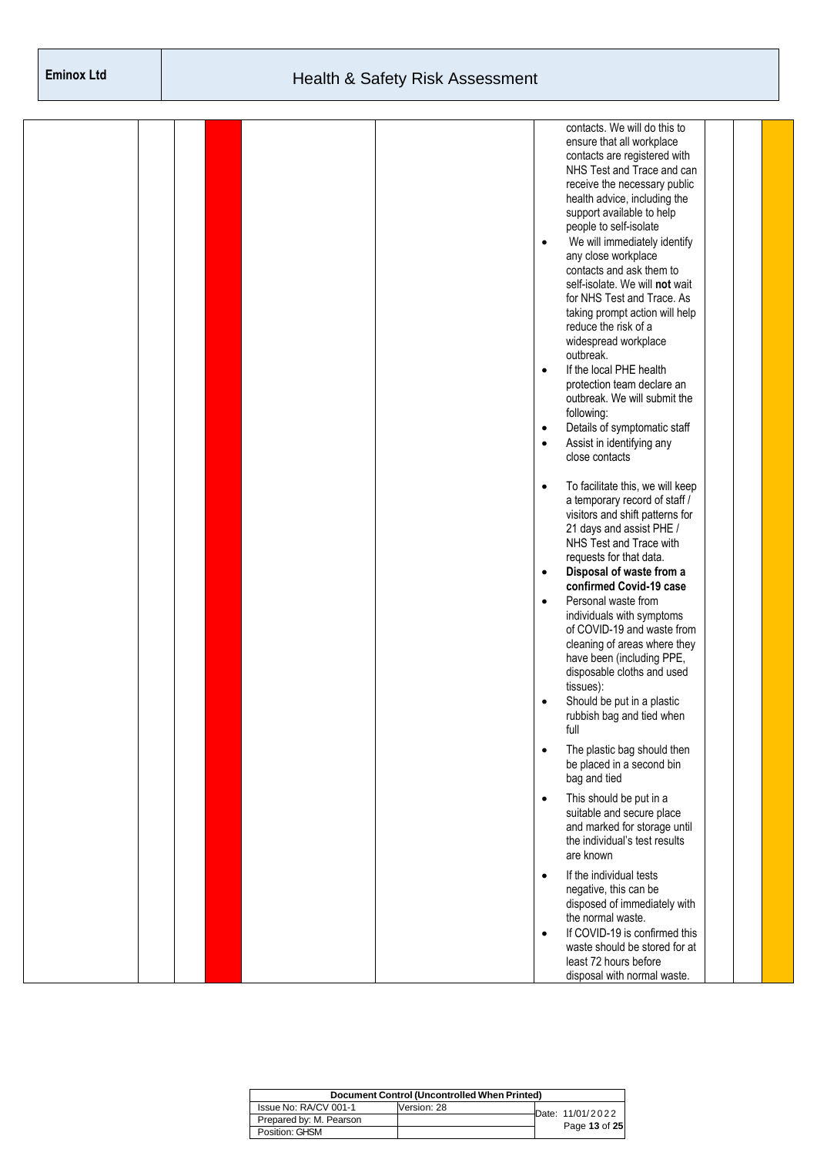|  |  |           | contacts. We will do this to                                  |  |  |
|--|--|-----------|---------------------------------------------------------------|--|--|
|  |  |           | ensure that all workplace                                     |  |  |
|  |  |           | contacts are registered with                                  |  |  |
|  |  |           | NHS Test and Trace and can                                    |  |  |
|  |  |           | receive the necessary public                                  |  |  |
|  |  |           | health advice, including the                                  |  |  |
|  |  |           | support available to help                                     |  |  |
|  |  |           | people to self-isolate                                        |  |  |
|  |  | $\bullet$ | We will immediately identify                                  |  |  |
|  |  |           | any close workplace                                           |  |  |
|  |  |           | contacts and ask them to                                      |  |  |
|  |  |           | self-isolate. We will not wait                                |  |  |
|  |  |           | for NHS Test and Trace. As                                    |  |  |
|  |  |           | taking prompt action will help                                |  |  |
|  |  |           | reduce the risk of a                                          |  |  |
|  |  |           | widespread workplace                                          |  |  |
|  |  |           | outbreak.                                                     |  |  |
|  |  | $\bullet$ | If the local PHE health                                       |  |  |
|  |  |           | protection team declare an                                    |  |  |
|  |  |           | outbreak. We will submit the                                  |  |  |
|  |  |           | following:                                                    |  |  |
|  |  | $\bullet$ | Details of symptomatic staff                                  |  |  |
|  |  | $\bullet$ | Assist in identifying any                                     |  |  |
|  |  |           | close contacts                                                |  |  |
|  |  |           |                                                               |  |  |
|  |  | $\bullet$ | To facilitate this, we will keep                              |  |  |
|  |  |           | a temporary record of staff /                                 |  |  |
|  |  |           | visitors and shift patterns for                               |  |  |
|  |  |           | 21 days and assist PHE /                                      |  |  |
|  |  |           | NHS Test and Trace with                                       |  |  |
|  |  |           | requests for that data.                                       |  |  |
|  |  | $\bullet$ | Disposal of waste from a                                      |  |  |
|  |  |           | confirmed Covid-19 case                                       |  |  |
|  |  | $\bullet$ | Personal waste from                                           |  |  |
|  |  |           | individuals with symptoms                                     |  |  |
|  |  |           | of COVID-19 and waste from                                    |  |  |
|  |  |           | cleaning of areas where they                                  |  |  |
|  |  |           | have been (including PPE,                                     |  |  |
|  |  |           | disposable cloths and used                                    |  |  |
|  |  |           | tissues):                                                     |  |  |
|  |  | $\bullet$ | Should be put in a plastic                                    |  |  |
|  |  |           | rubbish bag and tied when                                     |  |  |
|  |  |           | full                                                          |  |  |
|  |  | $\bullet$ | The plastic bag should then                                   |  |  |
|  |  |           | be placed in a second bin                                     |  |  |
|  |  |           | bag and tied                                                  |  |  |
|  |  |           |                                                               |  |  |
|  |  | $\bullet$ | This should be put in a                                       |  |  |
|  |  |           | suitable and secure place                                     |  |  |
|  |  |           | and marked for storage until<br>the individual's test results |  |  |
|  |  |           | are known                                                     |  |  |
|  |  |           |                                                               |  |  |
|  |  | $\bullet$ | If the individual tests                                       |  |  |
|  |  |           | negative, this can be                                         |  |  |
|  |  |           | disposed of immediately with                                  |  |  |
|  |  |           | the normal waste.                                             |  |  |
|  |  | $\bullet$ | If COVID-19 is confirmed this                                 |  |  |
|  |  |           | waste should be stored for at                                 |  |  |
|  |  |           | least 72 hours before                                         |  |  |
|  |  |           | disposal with normal waste.                                   |  |  |

|                         | Document Control (Uncontrolled When Printed) |                  |
|-------------------------|----------------------------------------------|------------------|
| Issue No: RA/CV 001-1   | Version: 28                                  | Date: 11/01/2022 |
| Prepared by: M. Pearson |                                              |                  |
| Position: GHSM          |                                              | Page 13 of 25    |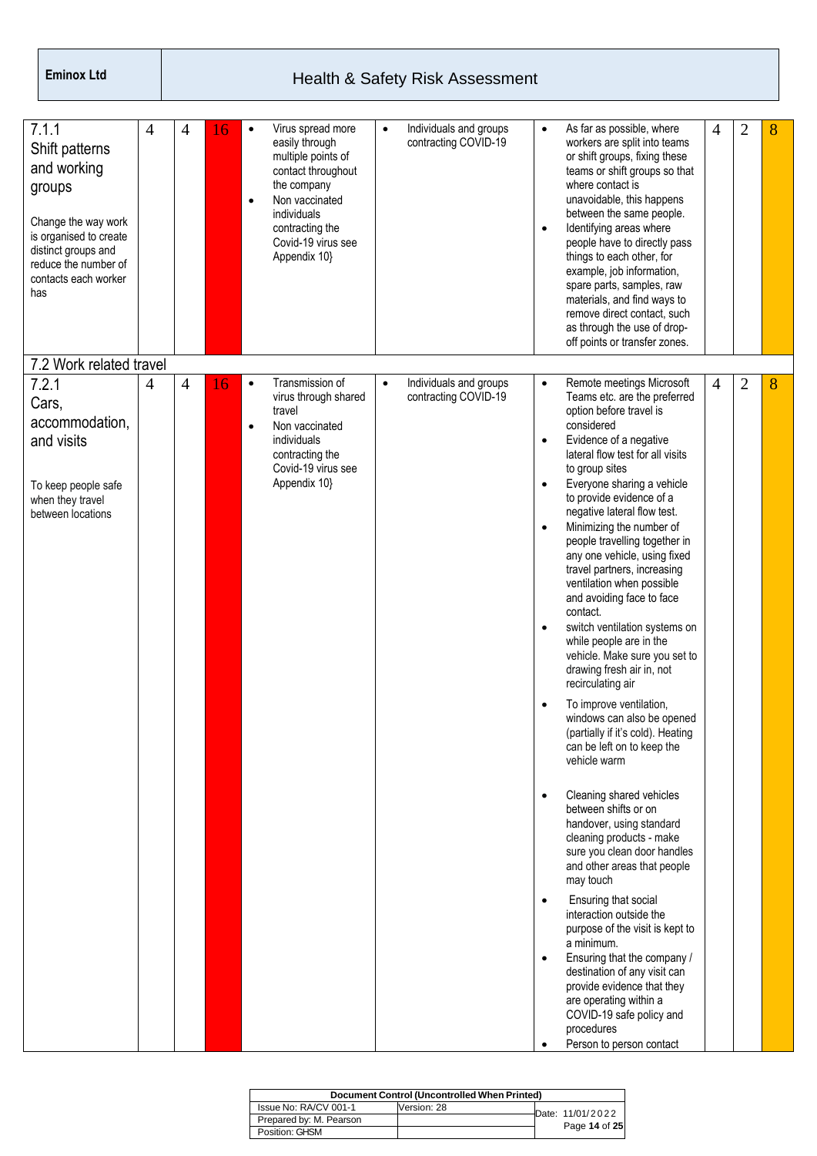| 7.1.1<br>Shift patterns<br>and working<br>groups<br>Change the way work<br>is organised to create<br>distinct groups and<br>reduce the number of<br>contacts each worker<br>has | 4 | 4              | 16 | $\bullet$ | Virus spread more<br>easily through<br>multiple points of<br>contact throughout<br>the company<br>Non vaccinated<br>individuals<br>contracting the<br>Covid-19 virus see<br>Appendix 10} | $\bullet$ | Individuals and groups<br>contracting COVID-19 | $\bullet$<br>$\bullet$                                                                                    | As far as possible, where<br>workers are split into teams<br>or shift groups, fixing these<br>teams or shift groups so that<br>where contact is<br>unavoidable, this happens<br>between the same people.<br>Identifying areas where<br>people have to directly pass<br>things to each other, for<br>example, job information,<br>spare parts, samples, raw<br>materials, and find ways to<br>remove direct contact, such<br>as through the use of drop-<br>off points or transfer zones.                                                                                                                                                                                                                                                                                                                                                                                                                                                                                                                                                                                                                                                                                                   | $\overline{4}$ | 2              | 8 |
|---------------------------------------------------------------------------------------------------------------------------------------------------------------------------------|---|----------------|----|-----------|------------------------------------------------------------------------------------------------------------------------------------------------------------------------------------------|-----------|------------------------------------------------|-----------------------------------------------------------------------------------------------------------|--------------------------------------------------------------------------------------------------------------------------------------------------------------------------------------------------------------------------------------------------------------------------------------------------------------------------------------------------------------------------------------------------------------------------------------------------------------------------------------------------------------------------------------------------------------------------------------------------------------------------------------------------------------------------------------------------------------------------------------------------------------------------------------------------------------------------------------------------------------------------------------------------------------------------------------------------------------------------------------------------------------------------------------------------------------------------------------------------------------------------------------------------------------------------------------------|----------------|----------------|---|
| 7.2 Work related travel<br>7.2.1<br>Cars,<br>accommodation,<br>and visits<br>To keep people safe<br>when they travel<br>between locations                                       | 4 | $\overline{4}$ | 16 | $\bullet$ | Transmission of<br>virus through shared<br>travel<br>Non vaccinated<br>individuals<br>contracting the<br>Covid-19 virus see<br>Appendix 10}                                              | $\bullet$ | Individuals and groups<br>contracting COVID-19 | $\bullet$<br>$\bullet$<br>$\bullet$<br>$\bullet$<br>$\bullet$<br>٠<br>$\bullet$<br>$\bullet$<br>$\bullet$ | Remote meetings Microsoft<br>Teams etc. are the preferred<br>option before travel is<br>considered<br>Evidence of a negative<br>lateral flow test for all visits<br>to group sites<br>Everyone sharing a vehicle<br>to provide evidence of a<br>negative lateral flow test.<br>Minimizing the number of<br>people travelling together in<br>any one vehicle, using fixed<br>travel partners, increasing<br>ventilation when possible<br>and avoiding face to face<br>contact.<br>switch ventilation systems on<br>while people are in the<br>vehicle. Make sure you set to<br>drawing fresh air in, not<br>recirculating air<br>To improve ventilation,<br>windows can also be opened<br>(partially if it's cold). Heating<br>can be left on to keep the<br>vehicle warm<br>Cleaning shared vehicles<br>between shifts or on<br>handover, using standard<br>cleaning products - make<br>sure you clean door handles<br>and other areas that people<br>may touch<br>Ensuring that social<br>interaction outside the<br>purpose of the visit is kept to<br>a minimum.<br>Ensuring that the company /<br>destination of any visit can<br>provide evidence that they<br>are operating within a | $\overline{4}$ | $\overline{2}$ | 8 |
|                                                                                                                                                                                 |   |                |    |           |                                                                                                                                                                                          |           |                                                | $\bullet$                                                                                                 | COVID-19 safe policy and<br>procedures<br>Person to person contact                                                                                                                                                                                                                                                                                                                                                                                                                                                                                                                                                                                                                                                                                                                                                                                                                                                                                                                                                                                                                                                                                                                         |                |                |   |

| Document Control (Uncontrolled When Printed) |             |  |                  |  |  |  |  |  |  |
|----------------------------------------------|-------------|--|------------------|--|--|--|--|--|--|
| Issue No: RA/CV 001-1                        | Version: 28 |  | Date: 11/01/2022 |  |  |  |  |  |  |
| Prepared by: M. Pearson                      |             |  |                  |  |  |  |  |  |  |
| Position: GHSM                               |             |  | Page 14 of 25    |  |  |  |  |  |  |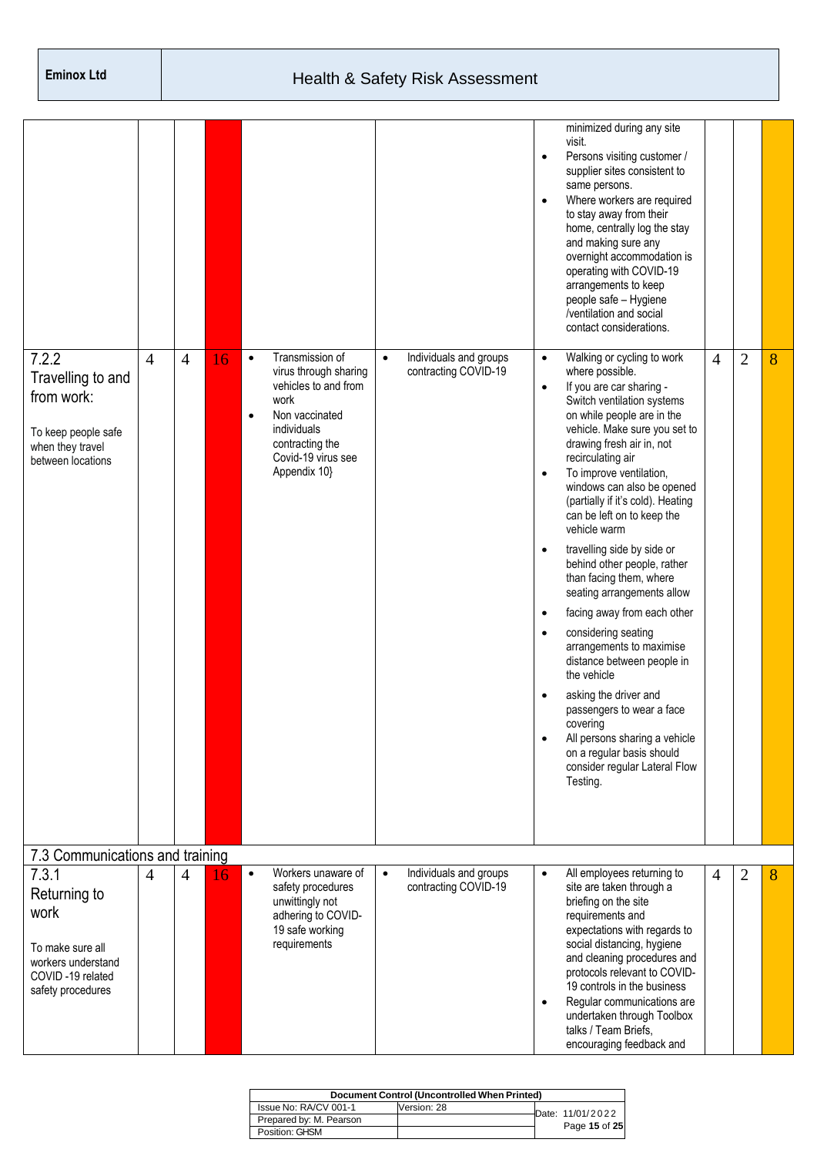| 7.2.2<br>Travelling to and<br>from work:<br>To keep people safe<br>when they travel<br>between locations         | $\overline{4}$ | $\overline{4}$ | 16 | $\bullet$<br>٠ | Transmission of<br>virus through sharing<br>vehicles to and from<br>work<br>Non vaccinated<br>individuals<br>contracting the<br>Covid-19 virus see<br>Appendix 10} | $\bullet$ | Individuals and groups<br>contracting COVID-19 | $\bullet$<br>$\bullet$<br>$\bullet$<br>$\bullet$<br>$\bullet$<br>$\bullet$<br>$\bullet$<br>$\bullet$<br>$\bullet$<br>$\bullet$ | minimized during any site<br>visit.<br>Persons visiting customer /<br>supplier sites consistent to<br>same persons.<br>Where workers are required<br>to stay away from their<br>home, centrally log the stay<br>and making sure any<br>overnight accommodation is<br>operating with COVID-19<br>arrangements to keep<br>people safe - Hygiene<br>/ventilation and social<br>contact considerations.<br>Walking or cycling to work<br>where possible.<br>If you are car sharing -<br>Switch ventilation systems<br>on while people are in the<br>vehicle. Make sure you set to<br>drawing fresh air in, not<br>recirculating air<br>To improve ventilation,<br>windows can also be opened<br>(partially if it's cold). Heating<br>can be left on to keep the<br>vehicle warm<br>travelling side by side or<br>behind other people, rather<br>than facing them, where<br>seating arrangements allow<br>facing away from each other<br>considering seating<br>arrangements to maximise<br>distance between people in<br>the vehicle<br>asking the driver and<br>passengers to wear a face<br>covering<br>All persons sharing a vehicle<br>on a regular basis should<br>consider regular Lateral Flow<br>Testing. | $\overline{4}$ | 2 | 8 |
|------------------------------------------------------------------------------------------------------------------|----------------|----------------|----|----------------|--------------------------------------------------------------------------------------------------------------------------------------------------------------------|-----------|------------------------------------------------|--------------------------------------------------------------------------------------------------------------------------------|---------------------------------------------------------------------------------------------------------------------------------------------------------------------------------------------------------------------------------------------------------------------------------------------------------------------------------------------------------------------------------------------------------------------------------------------------------------------------------------------------------------------------------------------------------------------------------------------------------------------------------------------------------------------------------------------------------------------------------------------------------------------------------------------------------------------------------------------------------------------------------------------------------------------------------------------------------------------------------------------------------------------------------------------------------------------------------------------------------------------------------------------------------------------------------------------------------------|----------------|---|---|
|                                                                                                                  |                |                |    |                |                                                                                                                                                                    |           |                                                |                                                                                                                                |                                                                                                                                                                                                                                                                                                                                                                                                                                                                                                                                                                                                                                                                                                                                                                                                                                                                                                                                                                                                                                                                                                                                                                                                               |                |   |   |
| 7.3 Communications and training                                                                                  |                |                |    |                |                                                                                                                                                                    |           |                                                |                                                                                                                                |                                                                                                                                                                                                                                                                                                                                                                                                                                                                                                                                                                                                                                                                                                                                                                                                                                                                                                                                                                                                                                                                                                                                                                                                               |                |   |   |
| 7.3.1<br>Returning to<br>work<br>To make sure all<br>workers understand<br>COVID-19 related<br>safety procedures | $\overline{4}$ | 4              | 16 | $\bullet$      | Workers unaware of<br>safety procedures<br>unwittingly not<br>adhering to COVID-<br>19 safe working<br>requirements                                                | $\bullet$ | Individuals and groups<br>contracting COVID-19 | $\bullet$<br>$\bullet$                                                                                                         | All employees returning to<br>site are taken through a<br>briefing on the site<br>requirements and<br>expectations with regards to<br>social distancing, hygiene<br>and cleaning procedures and<br>protocols relevant to COVID-<br>19 controls in the business<br>Regular communications are<br>undertaken through Toolbox<br>talks / Team Briefs,<br>encouraging feedback and                                                                                                                                                                                                                                                                                                                                                                                                                                                                                                                                                                                                                                                                                                                                                                                                                                | 4              | 2 | 8 |

| <b>Document Control (Uncontrolled When Printed)</b> |             |  |                  |  |  |  |  |  |  |  |
|-----------------------------------------------------|-------------|--|------------------|--|--|--|--|--|--|--|
| Issue No: RA/CV 001-1                               | Version: 28 |  | Date: 11/01/2022 |  |  |  |  |  |  |  |
| Prepared by: M. Pearson                             |             |  | Page 15 of 25    |  |  |  |  |  |  |  |
| Position: GHSM                                      |             |  |                  |  |  |  |  |  |  |  |
|                                                     |             |  |                  |  |  |  |  |  |  |  |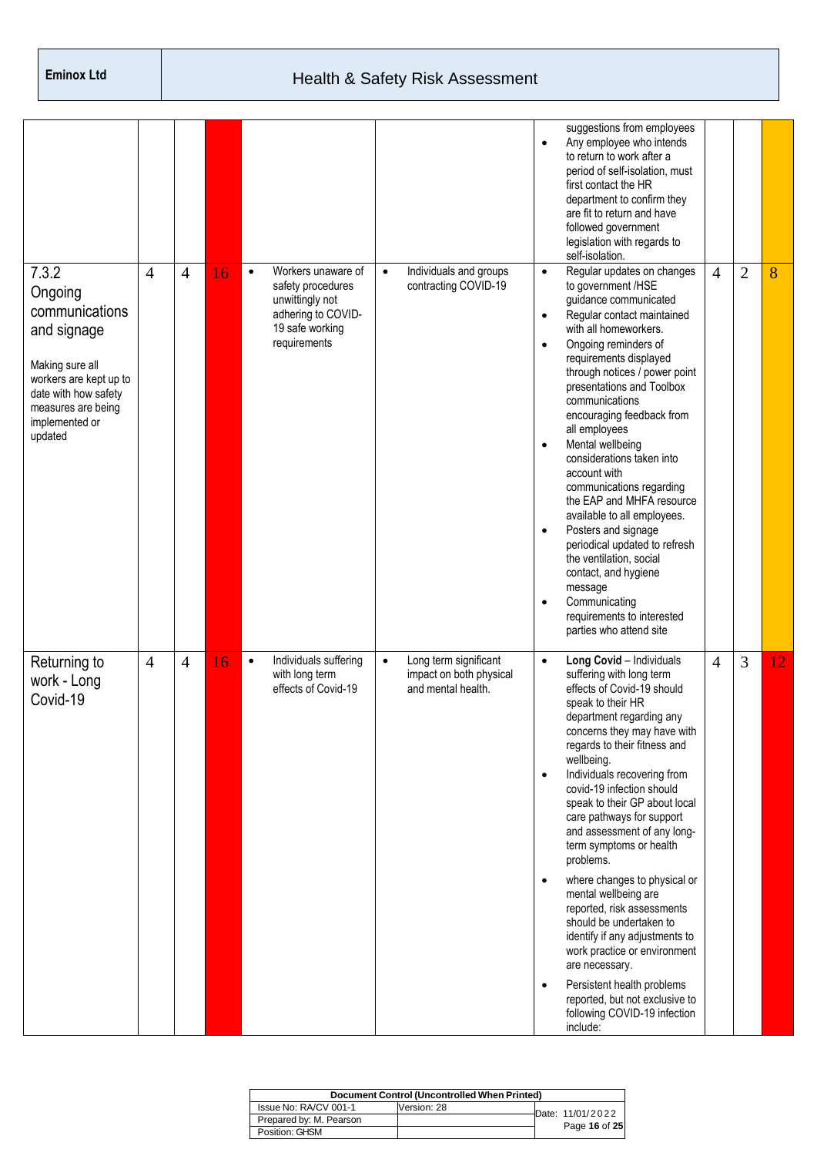|                                                                                                                                                                           |                |                |    |                             |                                                                                                     |           |                                                                        | $\bullet$                                                                  | suggestions from employees<br>Any employee who intends<br>to return to work after a<br>period of self-isolation, must<br>first contact the HR<br>department to confirm they<br>are fit to return and have<br>followed government<br>legislation with regards to<br>self-isolation.                                                                                                                                                                                                                                                                                                                                                                                                                                                 |                |                |    |
|---------------------------------------------------------------------------------------------------------------------------------------------------------------------------|----------------|----------------|----|-----------------------------|-----------------------------------------------------------------------------------------------------|-----------|------------------------------------------------------------------------|----------------------------------------------------------------------------|------------------------------------------------------------------------------------------------------------------------------------------------------------------------------------------------------------------------------------------------------------------------------------------------------------------------------------------------------------------------------------------------------------------------------------------------------------------------------------------------------------------------------------------------------------------------------------------------------------------------------------------------------------------------------------------------------------------------------------|----------------|----------------|----|
| 7.3.2<br>Ongoing<br>communications<br>and signage<br>Making sure all<br>workers are kept up to<br>date with how safety<br>measures are being<br>implemented or<br>updated | $\overline{4}$ | $\overline{4}$ | 16 | $\bullet$<br>requirements   | Workers unaware of<br>safety procedures<br>unwittingly not<br>adhering to COVID-<br>19 safe working | $\bullet$ | Individuals and groups<br>contracting COVID-19                         | $\bullet$<br>$\bullet$<br>$\bullet$<br>$\bullet$<br>$\bullet$<br>$\bullet$ | Regular updates on changes<br>to government /HSE<br>guidance communicated<br>Regular contact maintained<br>with all homeworkers.<br>Ongoing reminders of<br>requirements displayed<br>through notices / power point<br>presentations and Toolbox<br>communications<br>encouraging feedback from<br>all employees<br>Mental wellbeing<br>considerations taken into<br>account with<br>communications regarding<br>the EAP and MHFA resource<br>available to all employees.<br>Posters and signage<br>periodical updated to refresh<br>the ventilation, social<br>contact, and hygiene<br>message<br>Communicating<br>requirements to interested<br>parties who attend site                                                          | $\overline{4}$ | $\overline{2}$ | 8  |
| Returning to<br>work - Long<br>Covid-19                                                                                                                                   | $\overline{4}$ | $\overline{4}$ | 16 | $\bullet$<br>with long term | Individuals suffering<br>effects of Covid-19                                                        | $\bullet$ | Long term significant<br>impact on both physical<br>and mental health. | $\bullet$<br>$\bullet$<br>$\bullet$<br>$\bullet$                           | Long Covid - Individuals<br>suffering with long term<br>effects of Covid-19 should<br>speak to their HR<br>department regarding any<br>concerns they may have with<br>regards to their fitness and<br>wellbeing.<br>Individuals recovering from<br>covid-19 infection should<br>speak to their GP about local<br>care pathways for support<br>and assessment of any long-<br>term symptoms or health<br>problems.<br>where changes to physical or<br>mental wellbeing are<br>reported, risk assessments<br>should be undertaken to<br>identify if any adjustments to<br>work practice or environment<br>are necessary.<br>Persistent health problems<br>reported, but not exclusive to<br>following COVID-19 infection<br>include: | 4              | 3              | 12 |

| Document Control (Uncontrolled When Printed) |             |  |                    |  |  |  |  |  |  |  |
|----------------------------------------------|-------------|--|--------------------|--|--|--|--|--|--|--|
| Issue No: RA/CV 001-1                        | Version: 28 |  | Date: $11/01/2022$ |  |  |  |  |  |  |  |
| Prepared by: M. Pearson                      |             |  |                    |  |  |  |  |  |  |  |
| Position: GHSM                               |             |  | Page 16 of 25      |  |  |  |  |  |  |  |
|                                              |             |  |                    |  |  |  |  |  |  |  |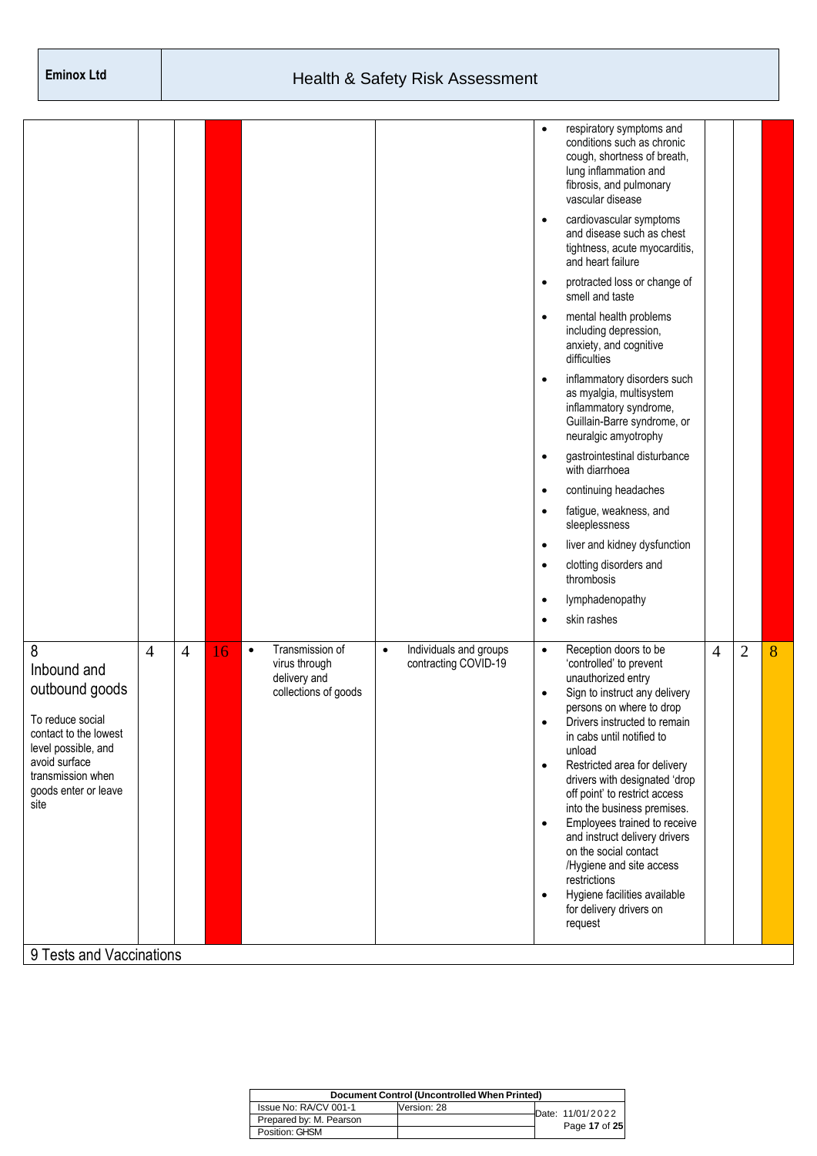|                                                                                                                                                                              |                |                |    |           |                                                                          |           |                                                | $\bullet$<br>$\bullet$<br>$\bullet$<br>$\bullet$<br>$\bullet$ | respiratory symptoms and<br>conditions such as chronic<br>cough, shortness of breath,<br>lung inflammation and<br>fibrosis, and pulmonary<br>vascular disease<br>cardiovascular symptoms<br>and disease such as chest<br>tightness, acute myocarditis,<br>and heart failure<br>protracted loss or change of<br>smell and taste<br>mental health problems<br>including depression,<br>anxiety, and cognitive<br>difficulties<br>inflammatory disorders such<br>as myalgia, multisystem<br>inflammatory syndrome, |                |                |   |
|------------------------------------------------------------------------------------------------------------------------------------------------------------------------------|----------------|----------------|----|-----------|--------------------------------------------------------------------------|-----------|------------------------------------------------|---------------------------------------------------------------|-----------------------------------------------------------------------------------------------------------------------------------------------------------------------------------------------------------------------------------------------------------------------------------------------------------------------------------------------------------------------------------------------------------------------------------------------------------------------------------------------------------------|----------------|----------------|---|
|                                                                                                                                                                              |                |                |    |           |                                                                          |           |                                                | $\bullet$                                                     | Guillain-Barre syndrome, or<br>neuralgic amyotrophy<br>gastrointestinal disturbance<br>with diarrhoea                                                                                                                                                                                                                                                                                                                                                                                                           |                |                |   |
|                                                                                                                                                                              |                |                |    |           |                                                                          |           |                                                | $\bullet$                                                     | continuing headaches                                                                                                                                                                                                                                                                                                                                                                                                                                                                                            |                |                |   |
|                                                                                                                                                                              |                |                |    |           |                                                                          |           |                                                | $\bullet$                                                     | fatigue, weakness, and<br>sleeplessness                                                                                                                                                                                                                                                                                                                                                                                                                                                                         |                |                |   |
|                                                                                                                                                                              |                |                |    |           |                                                                          |           |                                                | $\bullet$                                                     | liver and kidney dysfunction                                                                                                                                                                                                                                                                                                                                                                                                                                                                                    |                |                |   |
|                                                                                                                                                                              |                |                |    |           |                                                                          |           |                                                | $\bullet$                                                     | clotting disorders and<br>thrombosis                                                                                                                                                                                                                                                                                                                                                                                                                                                                            |                |                |   |
|                                                                                                                                                                              |                |                |    |           |                                                                          |           |                                                | $\bullet$                                                     | lymphadenopathy                                                                                                                                                                                                                                                                                                                                                                                                                                                                                                 |                |                |   |
|                                                                                                                                                                              |                |                |    |           |                                                                          |           |                                                | $\bullet$                                                     | skin rashes                                                                                                                                                                                                                                                                                                                                                                                                                                                                                                     |                |                |   |
| 8<br>Inbound and<br>outbound goods<br>To reduce social<br>contact to the lowest<br>level possible, and<br>avoid surface<br>transmission when<br>goods enter or leave<br>site | $\overline{4}$ | $\overline{4}$ | 16 | $\bullet$ | Transmission of<br>virus through<br>delivery and<br>collections of goods | $\bullet$ | Individuals and groups<br>contracting COVID-19 | $\bullet$<br>$\bullet$<br>$\bullet$<br>$\bullet$              | Reception doors to be<br>'controlled' to prevent<br>unauthorized entry<br>Sign to instruct any delivery<br>persons on where to drop<br>Drivers instructed to remain<br>in cabs until notified to<br>unload<br>Restricted area for delivery<br>drivers with designated 'drop<br>off point' to restrict access<br>into the business premises.                                                                                                                                                                     | $\overline{4}$ | $\overline{2}$ | 8 |
|                                                                                                                                                                              |                |                |    |           |                                                                          |           |                                                | $\bullet$<br>$\bullet$                                        | Employees trained to receive<br>and instruct delivery drivers<br>on the social contact<br>/Hygiene and site access<br>restrictions<br>Hygiene facilities available<br>for delivery drivers on<br>request                                                                                                                                                                                                                                                                                                        |                |                |   |
| 9 Tests and Vaccinations                                                                                                                                                     |                |                |    |           |                                                                          |           |                                                |                                                               |                                                                                                                                                                                                                                                                                                                                                                                                                                                                                                                 |                |                |   |

|                         | Document Control (Uncontrolled When Printed) |                  |
|-------------------------|----------------------------------------------|------------------|
| Issue No: RA/CV 001-1   | Version: 28                                  | Date: 11/01/2022 |
| Prepared by: M. Pearson |                                              |                  |
| Position: GHSM          |                                              | Page 17 of 25    |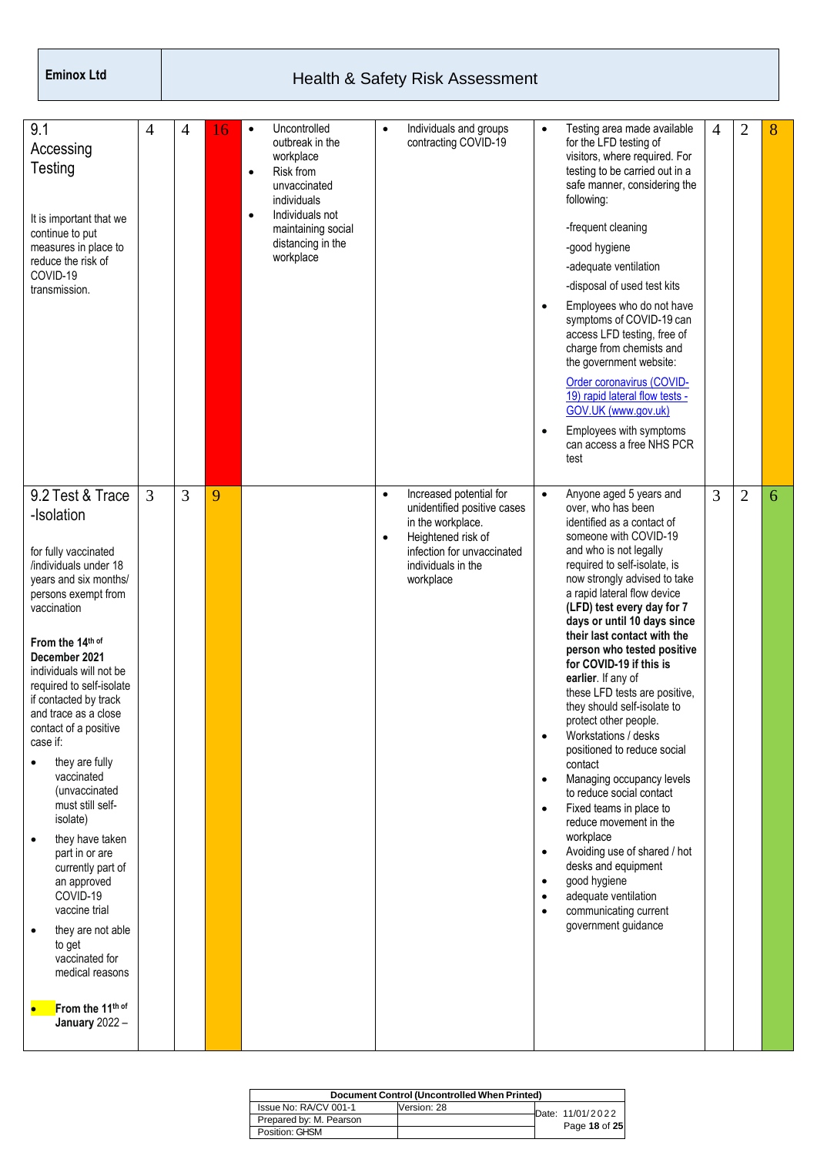| 9.1<br>Accessing<br>Testing<br>It is important that we<br>continue to put<br>measures in place to<br>reduce the risk of<br>COVID-19<br>transmission.                                                                                                                                                                                                                                                                                                                                                                                                                                                                                                                            | 4              | $\overline{4}$ | 16 | $\bullet$<br>$\bullet$<br>$\bullet$ | Uncontrolled<br>outbreak in the<br>workplace<br>Risk from<br>unvaccinated<br>individuals<br>Individuals not<br>maintaining social<br>distancing in the<br>workplace | $\bullet$              | Individuals and groups<br>contracting COVID-19                                                                                                                     | $\bullet$<br>$\bullet$<br>$\bullet$                                                                  | Testing area made available<br>for the LFD testing of<br>visitors, where required. For<br>testing to be carried out in a<br>safe manner, considering the<br>following:<br>-frequent cleaning<br>-good hygiene<br>-adequate ventilation<br>-disposal of used test kits<br>Employees who do not have<br>symptoms of COVID-19 can<br>access LFD testing, free of<br>charge from chemists and<br>the government website:<br>Order coronavirus (COVID-<br>19) rapid lateral flow tests -<br>GOV.UK (www.gov.uk)<br>Employees with symptoms<br>can access a free NHS PCR<br>test                                                                                                                                                                                                                                                                    | $\overline{4}$ | $\overline{2}$ | 8 |
|---------------------------------------------------------------------------------------------------------------------------------------------------------------------------------------------------------------------------------------------------------------------------------------------------------------------------------------------------------------------------------------------------------------------------------------------------------------------------------------------------------------------------------------------------------------------------------------------------------------------------------------------------------------------------------|----------------|----------------|----|-------------------------------------|---------------------------------------------------------------------------------------------------------------------------------------------------------------------|------------------------|--------------------------------------------------------------------------------------------------------------------------------------------------------------------|------------------------------------------------------------------------------------------------------|-----------------------------------------------------------------------------------------------------------------------------------------------------------------------------------------------------------------------------------------------------------------------------------------------------------------------------------------------------------------------------------------------------------------------------------------------------------------------------------------------------------------------------------------------------------------------------------------------------------------------------------------------------------------------------------------------------------------------------------------------------------------------------------------------------------------------------------------------|----------------|----------------|---|
| 9.2 Test & Trace<br>-Isolation<br>for fully vaccinated<br>/individuals under 18<br>years and six months/<br>persons exempt from<br>vaccination<br>From the 14th of<br>December 2021<br>individuals will not be<br>required to self-isolate<br>if contacted by track<br>and trace as a close<br>contact of a positive<br>case if:<br>they are fully<br>vaccinated<br>(unvaccinated<br>must still self-<br>isolate)<br>they have taken<br>$\bullet$<br>part in or are<br>currently part of<br>an approved<br>COVID-19<br>vaccine trial<br>they are not able<br>$\bullet$<br>to get<br>vaccinated for<br>medical reasons<br>From the 11th of<br>$\bullet$<br><b>January 2022 -</b> | $\overline{3}$ | 3              | 9  |                                     |                                                                                                                                                                     | $\bullet$<br>$\bullet$ | Increased potential for<br>unidentified positive cases<br>in the workplace.<br>Heightened risk of<br>infection for unvaccinated<br>individuals in the<br>workplace | $\bullet$<br>$\bullet$<br>$\bullet$<br>$\bullet$<br>$\bullet$<br>$\bullet$<br>$\bullet$<br>$\bullet$ | Anyone aged 5 years and<br>over, who has been<br>identified as a contact of<br>someone with COVID-19<br>and who is not legally<br>required to self-isolate, is<br>now strongly advised to take<br>a rapid lateral flow device<br>(LFD) test every day for 7<br>days or until 10 days since<br>their last contact with the<br>person who tested positive<br>for COVID-19 if this is<br>earlier. If any of<br>these LFD tests are positive,<br>they should self-isolate to<br>protect other people.<br>Workstations / desks<br>positioned to reduce social<br>contact<br>Managing occupancy levels<br>to reduce social contact<br>Fixed teams in place to<br>reduce movement in the<br>workplace<br>Avoiding use of shared / hot<br>desks and equipment<br>good hygiene<br>adequate ventilation<br>communicating current<br>government guidance | 3              | $\overline{2}$ | 6 |

| Document Control (Uncontrolled When Printed) |             |  |                  |  |  |  |  |  |  |
|----------------------------------------------|-------------|--|------------------|--|--|--|--|--|--|
| Issue No: RA/CV 001-1                        | Version: 28 |  | Date: 11/01/2022 |  |  |  |  |  |  |
| Prepared by: M. Pearson                      |             |  |                  |  |  |  |  |  |  |
| Position: GHSM                               |             |  | Page 18 of 25    |  |  |  |  |  |  |
|                                              |             |  |                  |  |  |  |  |  |  |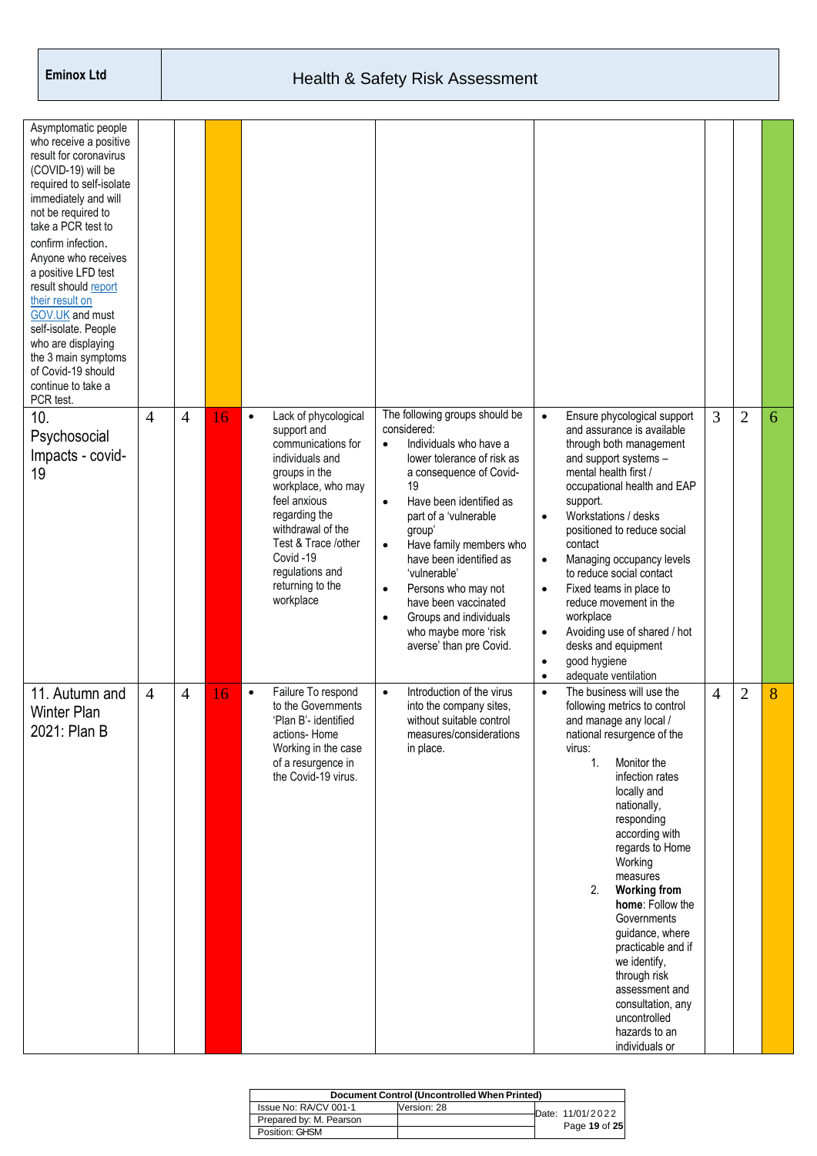| Asymptomatic people<br>who receive a positive<br>result for coronavirus<br>(COVID-19) will be<br>required to self-isolate<br>immediately and will<br>not be required to<br>take a PCR test to<br>confirm infection.<br>Anyone who receives<br>a positive LFD test<br>result should report<br>their result on<br>GOV.UK and must<br>self-isolate. People<br>who are displaying<br>the 3 main symptoms<br>of Covid-19 should<br>continue to take a<br>PCR test. |                |                |    |                                                                                                                                                                                                                                                                               |                                                                                                                                                                                                                                                                                                                                                                                                                                                            |                                                                                                                                                                                                                                                                                                                                                                                                                                                                                                                                                                          |   |                |   |
|---------------------------------------------------------------------------------------------------------------------------------------------------------------------------------------------------------------------------------------------------------------------------------------------------------------------------------------------------------------------------------------------------------------------------------------------------------------|----------------|----------------|----|-------------------------------------------------------------------------------------------------------------------------------------------------------------------------------------------------------------------------------------------------------------------------------|------------------------------------------------------------------------------------------------------------------------------------------------------------------------------------------------------------------------------------------------------------------------------------------------------------------------------------------------------------------------------------------------------------------------------------------------------------|--------------------------------------------------------------------------------------------------------------------------------------------------------------------------------------------------------------------------------------------------------------------------------------------------------------------------------------------------------------------------------------------------------------------------------------------------------------------------------------------------------------------------------------------------------------------------|---|----------------|---|
| 10.<br>Psychosocial<br>Impacts - covid-<br>19                                                                                                                                                                                                                                                                                                                                                                                                                 | $\overline{4}$ | $\overline{4}$ | 16 | Lack of phycological<br>$\bullet$<br>support and<br>communications for<br>individuals and<br>groups in the<br>workplace, who may<br>feel anxious<br>regarding the<br>withdrawal of the<br>Test & Trace /other<br>Covid-19<br>regulations and<br>returning to the<br>workplace | The following groups should be<br>considered:<br>Individuals who have a<br>$\bullet$<br>lower tolerance of risk as<br>a consequence of Covid-<br>19<br>Have been identified as<br>$\bullet$<br>part of a 'vulnerable<br>group'<br>Have family members who<br>$\bullet$<br>have been identified as<br>'vulnerable'<br>Persons who may not<br>$\bullet$<br>have been vaccinated<br>Groups and individuals<br>who maybe more 'risk<br>averse' than pre Covid. | Ensure phycological support<br>$\bullet$<br>and assurance is available<br>through both management<br>and support systems -<br>mental health first /<br>occupational health and EAP<br>support.<br>Workstations / desks<br>$\bullet$<br>positioned to reduce social<br>contact<br>Managing occupancy levels<br>$\bullet$<br>to reduce social contact<br>Fixed teams in place to<br>$\bullet$<br>reduce movement in the<br>workplace<br>Avoiding use of shared / hot<br>$\bullet$<br>desks and equipment<br>good hygiene<br>$\bullet$<br>adequate ventilation<br>$\bullet$ | 3 | $\overline{2}$ | 6 |
| 11. Autumn and<br><b>Winter Plan</b><br>2021: Plan B                                                                                                                                                                                                                                                                                                                                                                                                          | $\overline{4}$ | 4              | 16 | Failure To respond<br>$\bullet$<br>to the Governments<br>'Plan B'- identified<br>actions-Home<br>Working in the case<br>of a resurgence in<br>the Covid-19 virus.                                                                                                             | Introduction of the virus<br>$\bullet$<br>into the company sites,<br>without suitable control<br>measures/considerations<br>in place.                                                                                                                                                                                                                                                                                                                      | The business will use the<br>$\bullet$<br>following metrics to control<br>and manage any local /<br>national resurgence of the<br>virus:<br>1.<br>Monitor the<br>infection rates<br>locally and<br>nationally,<br>responding<br>according with<br>regards to Home<br>Working<br>measures<br>2.<br><b>Working from</b><br>home: Follow the<br>Governments<br>guidance, where<br>practicable and if<br>we identify,<br>through risk<br>assessment and<br>consultation, any<br>uncontrolled<br>hazards to an<br>individuals or                                              | 4 | $\overline{2}$ | 8 |

| Document Control (Uncontrolled When Printed) |             |  |                  |  |  |  |
|----------------------------------------------|-------------|--|------------------|--|--|--|
| Issue No: RA/CV 001-1                        | Version: 28 |  | Date: 11/01/2022 |  |  |  |
| Prepared by: M. Pearson                      |             |  | Page 19 of 25    |  |  |  |
| Position: GHSM                               |             |  |                  |  |  |  |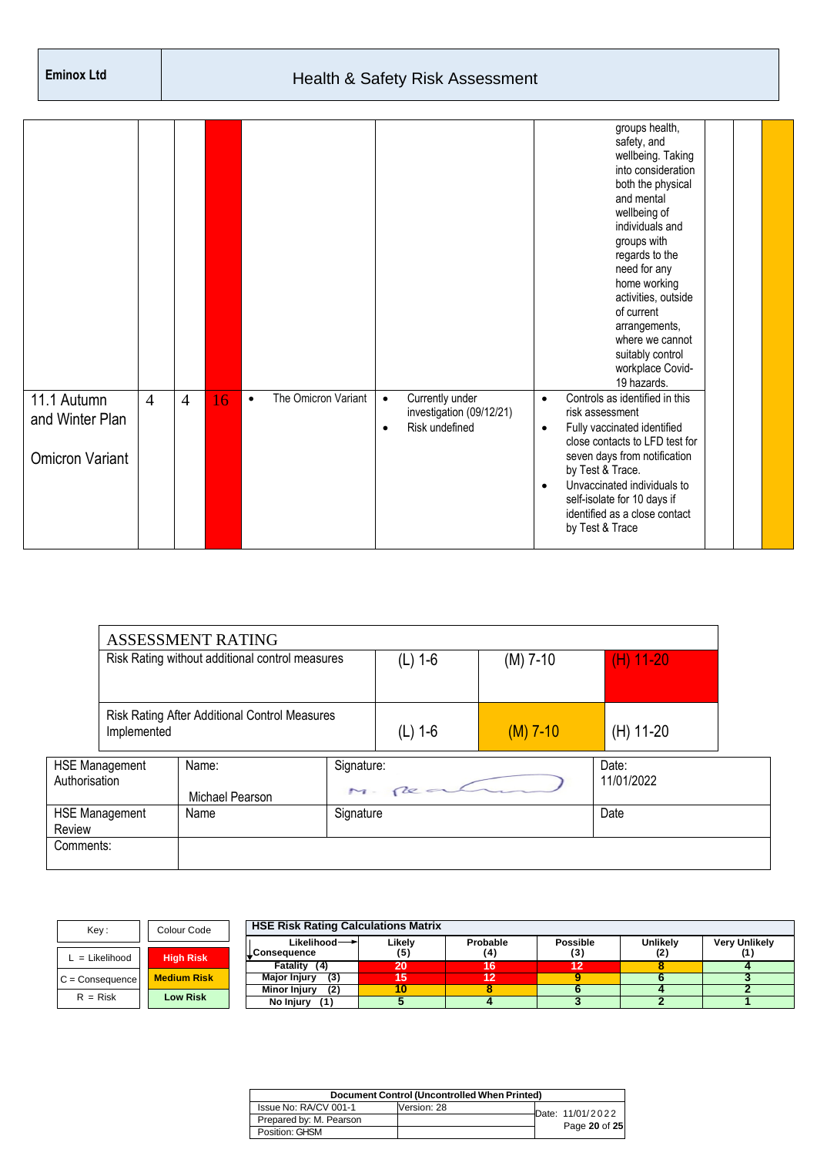| 11.1 Autumn<br>and Winter Plan<br><b>Omicron Variant</b> | $\overline{4}$ | $\overline{4}$ | 16 | The Omicron Variant<br>$\bullet$ | Currently under<br>$\bullet$<br>investigation (09/12/21)<br>Risk undefined<br>٠ | groups health,<br>safety, and<br>wellbeing. Taking<br>into consideration<br>both the physical<br>and mental<br>wellbeing of<br>individuals and<br>groups with<br>regards to the<br>need for any<br>home working<br>activities, outside<br>of current<br>arrangements,<br>where we cannot<br>suitably control<br>workplace Covid-<br>19 hazards.<br>Controls as identified in this<br>$\bullet$<br>risk assessment<br>Fully vaccinated identified<br>$\bullet$<br>close contacts to LFD test for<br>seven days from notification<br>by Test & Trace.<br>Unvaccinated individuals to<br>$\bullet$<br>self-isolate for 10 days if |
|----------------------------------------------------------|----------------|----------------|----|----------------------------------|---------------------------------------------------------------------------------|--------------------------------------------------------------------------------------------------------------------------------------------------------------------------------------------------------------------------------------------------------------------------------------------------------------------------------------------------------------------------------------------------------------------------------------------------------------------------------------------------------------------------------------------------------------------------------------------------------------------------------|
|                                                          |                |                |    |                                  |                                                                                 | identified as a close contact<br>by Test & Trace                                                                                                                                                                                                                                                                                                                                                                                                                                                                                                                                                                               |

|               |                                                 | ASSESSMENT RATING                             |           |                         |            |                     |
|---------------|-------------------------------------------------|-----------------------------------------------|-----------|-------------------------|------------|---------------------|
|               | Risk Rating without additional control measures |                                               |           | $(M)$ 7-10<br>$(L)$ 1-6 |            |                     |
|               | Implemented                                     | Risk Rating After Additional Control Measures |           | $(L)$ 1-6               | $(M)$ 7-10 | (H) 11-20           |
| Authorisation | <b>HSE Management</b>                           | Name:<br>Michael Pearson                      |           | Signature:<br>M-Rea     |            | Date:<br>11/01/2022 |
| Review        | <b>HSE Management</b>                           | Name                                          | Signature |                         |            | Date                |
| Comments:     |                                                 |                                               |           |                         |            |                     |

| Key:              | Colour Code        | <b>HSE Risk Rating Calculations Matrix</b> |        |          |                 |                 |                      |
|-------------------|--------------------|--------------------------------------------|--------|----------|-----------------|-----------------|----------------------|
|                   |                    | Likelihood $\rightarrow$                   | Likelv | Probable | <b>Possible</b> | <b>Unlikelv</b> | <b>Very Unlikely</b> |
| $L =$ Likelihood  | <b>High Risk</b>   | LConseauence                               |        | (4)      | (3)             |                 |                      |
|                   |                    | Fatality (4)                               | 20     | 16       |                 |                 |                      |
| $C =$ Consequence | <b>Medium Risk</b> | (3)<br><b>Major Injury</b>                 | 15     | 12       |                 |                 |                      |
|                   |                    | (2)<br>Minor Injury                        |        |          |                 |                 |                      |
| $R = Risk$        | <b>Low Risk</b>    | No Injury<br>(1)                           |        |          |                 |                 |                      |

| Document Control (Uncontrolled When Printed) |             |  |                  |  |  |  |
|----------------------------------------------|-------------|--|------------------|--|--|--|
| Issue No: RA/CV 001-1                        | Version: 28 |  | Date: 11/01/2022 |  |  |  |
| Prepared by: M. Pearson                      |             |  |                  |  |  |  |
| Position: GHSM                               |             |  | Page 20 of 25    |  |  |  |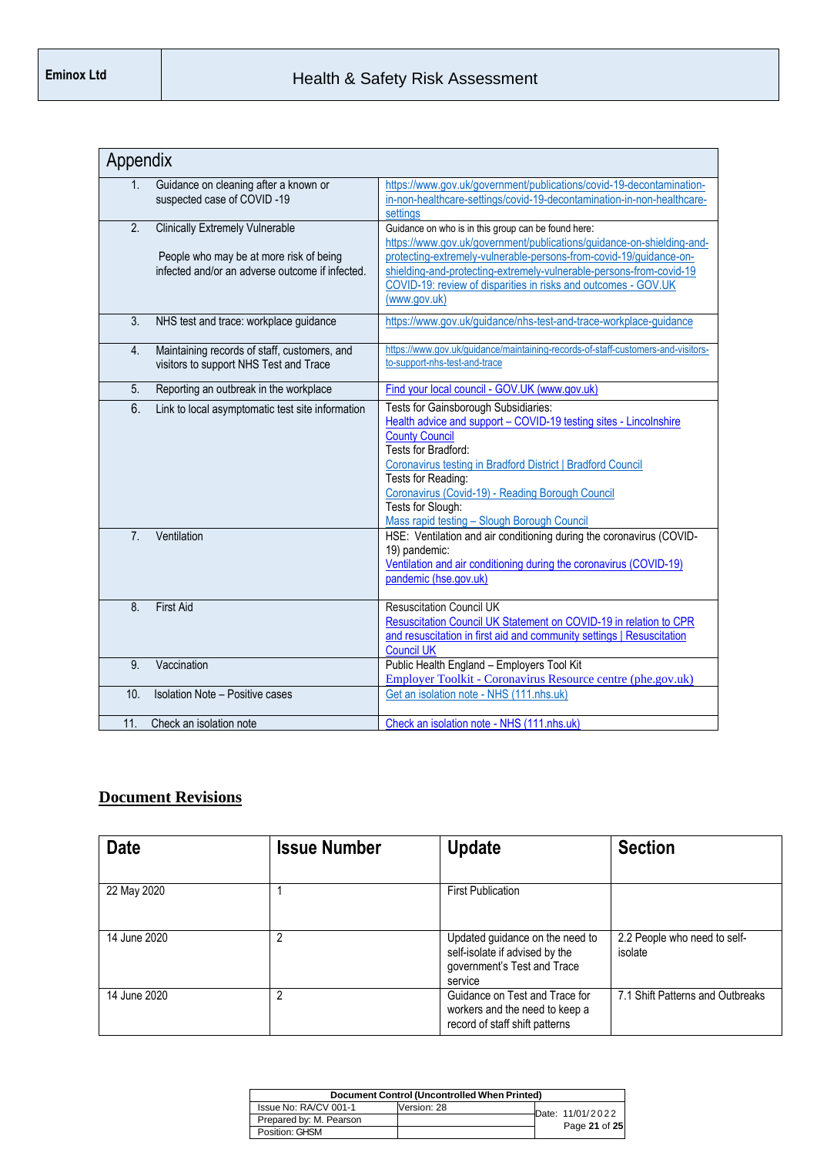| Appendix       |                                                                                                                                      |                                                                                                                                                                                                                                                                                                                                                                        |
|----------------|--------------------------------------------------------------------------------------------------------------------------------------|------------------------------------------------------------------------------------------------------------------------------------------------------------------------------------------------------------------------------------------------------------------------------------------------------------------------------------------------------------------------|
| 1.             | Guidance on cleaning after a known or<br>suspected case of COVID-19                                                                  | https://www.gov.uk/government/publications/covid-19-decontamination-<br>in-non-healthcare-settings/covid-19-decontamination-in-non-healthcare-<br>settings                                                                                                                                                                                                             |
| 2.             | <b>Clinically Extremely Vulnerable</b><br>People who may be at more risk of being<br>infected and/or an adverse outcome if infected. | Guidance on who is in this group can be found here:<br>https://www.gov.uk/government/publications/guidance-on-shielding-and-<br>protecting-extremely-vulnerable-persons-from-covid-19/quidance-on-<br>shielding-and-protecting-extremely-vulnerable-persons-from-covid-19<br>COVID-19: review of disparities in risks and outcomes - GOV.UK<br>(www.gov.uk)            |
| 3.             | NHS test and trace: workplace guidance                                                                                               | https://www.gov.uk/guidance/nhs-test-and-trace-workplace-guidance                                                                                                                                                                                                                                                                                                      |
| 4.             | Maintaining records of staff, customers, and<br>visitors to support NHS Test and Trace                                               | https://www.gov.uk/guidance/maintaining-records-of-staff-customers-and-visitors-<br>to-support-nhs-test-and-trace                                                                                                                                                                                                                                                      |
| 5.             | Reporting an outbreak in the workplace                                                                                               | Find your local council - GOV.UK (www.gov.uk)                                                                                                                                                                                                                                                                                                                          |
| 6.             | Link to local asymptomatic test site information                                                                                     | Tests for Gainsborough Subsidiaries:<br>Health advice and support - COVID-19 testing sites - Lincolnshire<br><b>County Council</b><br>Tests for Bradford:<br>Coronavirus testing in Bradford District   Bradford Council<br>Tests for Reading:<br>Coronavirus (Covid-19) - Reading Borough Council<br>Tests for Slough:<br>Mass rapid testing - Slough Borough Council |
| 7 <sub>1</sub> | Ventilation                                                                                                                          | HSE: Ventilation and air conditioning during the coronavirus (COVID-<br>19) pandemic:<br>Ventilation and air conditioning during the coronavirus (COVID-19)<br>pandemic (hse.gov.uk)                                                                                                                                                                                   |
| 8.             | <b>First Aid</b>                                                                                                                     | <b>Resuscitation Council UK</b><br>Resuscitation Council UK Statement on COVID-19 in relation to CPR<br>and resuscitation in first aid and community settings   Resuscitation<br><b>Council UK</b>                                                                                                                                                                     |
| 9.             | Vaccination                                                                                                                          | Public Health England - Employers Tool Kit<br>Employer Toolkit - Coronavirus Resource centre (phe.gov.uk)                                                                                                                                                                                                                                                              |
| 10.            | <b>Isolation Note - Positive cases</b>                                                                                               | Get an isolation note - NHS (111.nhs.uk)                                                                                                                                                                                                                                                                                                                               |
| 11.            | Check an isolation note                                                                                                              | Check an isolation note - NHS (111.nhs.uk)                                                                                                                                                                                                                                                                                                                             |

#### **Document Revisions**

| <b>Date</b>  | <b>Issue Number</b> | <b>Update</b>                                                                                               | <b>Section</b>                          |
|--------------|---------------------|-------------------------------------------------------------------------------------------------------------|-----------------------------------------|
| 22 May 2020  |                     | <b>First Publication</b>                                                                                    |                                         |
| 14 June 2020 | 2                   | Updated guidance on the need to<br>self-isolate if advised by the<br>government's Test and Trace<br>service | 2.2 People who need to self-<br>isolate |
| 14 June 2020 | 2                   | Guidance on Test and Trace for<br>workers and the need to keep a<br>record of staff shift patterns          | 7.1 Shift Patterns and Outbreaks        |

| Document Control (Uncontrolled When Printed) |             |  |                  |  |  |  |
|----------------------------------------------|-------------|--|------------------|--|--|--|
| Issue No: RA/CV 001-1                        | Version: 28 |  | Date: 11/01/2022 |  |  |  |
| Prepared by: M. Pearson                      |             |  |                  |  |  |  |
| Position: GHSM                               |             |  | Page 21 of 25    |  |  |  |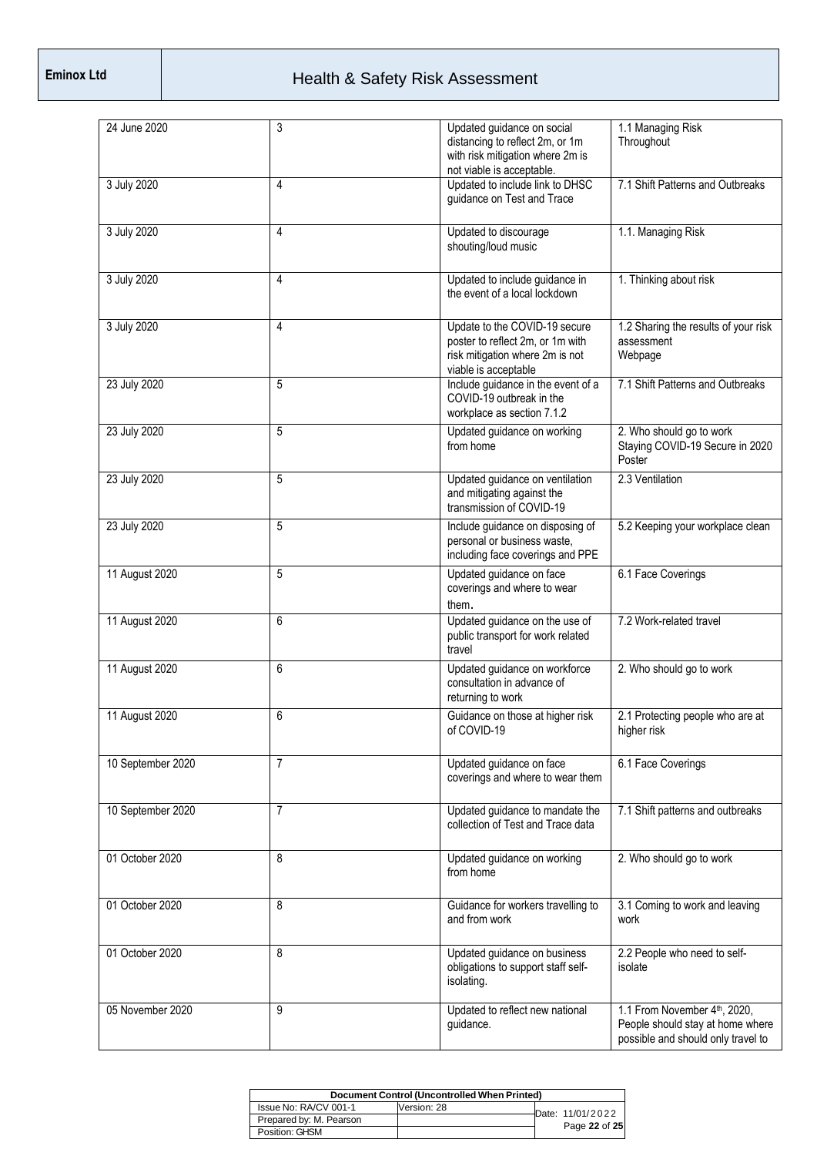| 24 June 2020      | 3              | Updated guidance on social<br>distancing to reflect 2m, or 1m<br>with risk mitigation where 2m is<br>not viable is acceptable. | 1.1 Managing Risk<br>Throughout                                                                        |
|-------------------|----------------|--------------------------------------------------------------------------------------------------------------------------------|--------------------------------------------------------------------------------------------------------|
| 3 July 2020       | 4              | Updated to include link to DHSC<br>guidance on Test and Trace                                                                  | 7.1 Shift Patterns and Outbreaks                                                                       |
| 3 July 2020       | 4              | Updated to discourage<br>shouting/loud music                                                                                   | 1.1. Managing Risk                                                                                     |
| 3 July 2020       | 4              | Updated to include guidance in<br>the event of a local lockdown                                                                | 1. Thinking about risk                                                                                 |
| 3 July 2020       | 4              | Update to the COVID-19 secure<br>poster to reflect 2m, or 1m with<br>risk mitigation where 2m is not<br>viable is acceptable   | 1.2 Sharing the results of your risk<br>assessment<br>Webpage                                          |
| 23 July 2020      | 5              | Include guidance in the event of a<br>COVID-19 outbreak in the<br>workplace as section 7.1.2                                   | 7.1 Shift Patterns and Outbreaks                                                                       |
| 23 July 2020      | 5              | Updated guidance on working<br>from home                                                                                       | 2. Who should go to work<br>Staying COVID-19 Secure in 2020<br>Poster                                  |
| 23 July 2020      | 5              | Updated guidance on ventilation<br>and mitigating against the<br>transmission of COVID-19                                      | 2.3 Ventilation                                                                                        |
| 23 July 2020      | 5              | Include guidance on disposing of<br>personal or business waste.<br>including face coverings and PPE                            | 5.2 Keeping your workplace clean                                                                       |
| 11 August 2020    | 5              | Updated guidance on face<br>coverings and where to wear<br>them.                                                               | 6.1 Face Coverings                                                                                     |
| 11 August 2020    | 6              | Updated guidance on the use of<br>public transport for work related<br>travel                                                  | 7.2 Work-related travel                                                                                |
| 11 August 2020    | 6              | Updated guidance on workforce<br>consultation in advance of<br>returning to work                                               | 2. Who should go to work                                                                               |
| 11 August 2020    | 6              | Guidance on those at higher risk<br>of COVID-19                                                                                | 2.1 Protecting people who are at<br>higher risk                                                        |
| 10 September 2020 | $\overline{7}$ | Updated guidance on face<br>coverings and where to wear them                                                                   | 6.1 Face Coverings                                                                                     |
| 10 September 2020 | $\overline{7}$ | Updated guidance to mandate the<br>collection of Test and Trace data                                                           | 7.1 Shift patterns and outbreaks                                                                       |
| 01 October 2020   | 8              | Updated guidance on working<br>from home                                                                                       | 2. Who should go to work                                                                               |
| 01 October 2020   | 8              | Guidance for workers travelling to<br>and from work                                                                            | 3.1 Coming to work and leaving<br>work                                                                 |
| 01 October 2020   | 8              | Updated guidance on business<br>obligations to support staff self-<br>isolating.                                               | 2.2 People who need to self-<br>isolate                                                                |
| 05 November 2020  | 9              | Updated to reflect new national<br>guidance.                                                                                   | 1.1 From November 4th, 2020,<br>People should stay at home where<br>possible and should only travel to |

| Document Control (Uncontrolled When Printed) |             |  |                  |  |  |  |
|----------------------------------------------|-------------|--|------------------|--|--|--|
| Issue No: RA/CV 001-1                        | Version: 28 |  | Date: 11/01/2022 |  |  |  |
| Prepared by: M. Pearson                      |             |  |                  |  |  |  |
| Position: GHSM                               |             |  | Page 22 of 25    |  |  |  |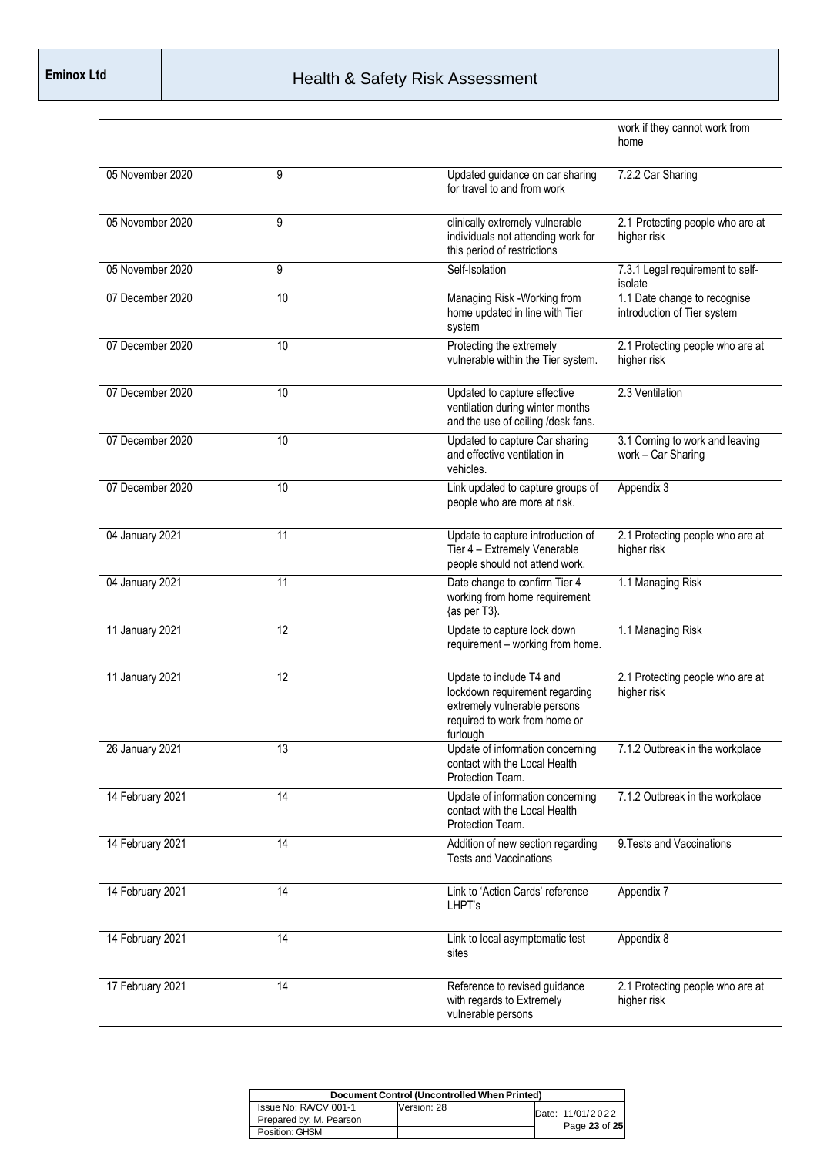|                  |    |                                                                                                                                         | work if they cannot work from<br>home                       |
|------------------|----|-----------------------------------------------------------------------------------------------------------------------------------------|-------------------------------------------------------------|
| 05 November 2020 | 9  | Updated guidance on car sharing<br>for travel to and from work                                                                          | 7.2.2 Car Sharing                                           |
| 05 November 2020 | 9  | clinically extremely vulnerable<br>individuals not attending work for<br>this period of restrictions                                    | 2.1 Protecting people who are at<br>higher risk             |
| 05 November 2020 | 9  | Self-Isolation                                                                                                                          | 7.3.1 Legal requirement to self-<br>isolate                 |
| 07 December 2020 | 10 | Managing Risk -Working from<br>home updated in line with Tier<br>system                                                                 | 1.1 Date change to recognise<br>introduction of Tier system |
| 07 December 2020 | 10 | Protecting the extremely<br>vulnerable within the Tier system.                                                                          | 2.1 Protecting people who are at<br>higher risk             |
| 07 December 2020 | 10 | Updated to capture effective<br>ventilation during winter months<br>and the use of ceiling /desk fans.                                  | 2.3 Ventilation                                             |
| 07 December 2020 | 10 | Updated to capture Car sharing<br>and effective ventilation in<br>vehicles.                                                             | 3.1 Coming to work and leaving<br>work - Car Sharing        |
| 07 December 2020 | 10 | Link updated to capture groups of<br>people who are more at risk.                                                                       | Appendix 3                                                  |
| 04 January 2021  | 11 | Update to capture introduction of<br>Tier 4 - Extremely Venerable<br>people should not attend work.                                     | 2.1 Protecting people who are at<br>higher risk             |
| 04 January 2021  | 11 | Date change to confirm Tier 4<br>working from home requirement<br>{as per T3}.                                                          | 1.1 Managing Risk                                           |
| 11 January 2021  | 12 | Update to capture lock down<br>requirement - working from home.                                                                         | 1.1 Managing Risk                                           |
| 11 January 2021  | 12 | Update to include T4 and<br>lockdown requirement regarding<br>extremely vulnerable persons<br>required to work from home or<br>furlough | 2.1 Protecting people who are at<br>higher risk             |
| 26 January 2021  | 13 | Update of information concerning<br>contact with the Local Health<br>Protection Team.                                                   | 7.1.2 Outbreak in the workplace                             |
| 14 February 2021 | 14 | Update of information concerning<br>contact with the Local Health<br>Protection Team.                                                   | 7.1.2 Outbreak in the workplace                             |
| 14 February 2021 | 14 | Addition of new section regarding<br><b>Tests and Vaccinations</b>                                                                      | 9. Tests and Vaccinations                                   |
| 14 February 2021 | 14 | Link to 'Action Cards' reference<br>LHPT's                                                                                              | Appendix 7                                                  |
| 14 February 2021 | 14 | Link to local asymptomatic test<br>sites                                                                                                | Appendix 8                                                  |
| 17 February 2021 | 14 | Reference to revised guidance<br>with regards to Extremely<br>vulnerable persons                                                        | 2.1 Protecting people who are at<br>higher risk             |

| Document Control (Uncontrolled When Printed) |             |  |                  |  |
|----------------------------------------------|-------------|--|------------------|--|
| Issue No: RA/CV 001-1                        | Version: 28 |  | Date: 11/01/2022 |  |
| Prepared by: M. Pearson                      |             |  |                  |  |
| Position: GHSM                               |             |  | Page 23 of 25    |  |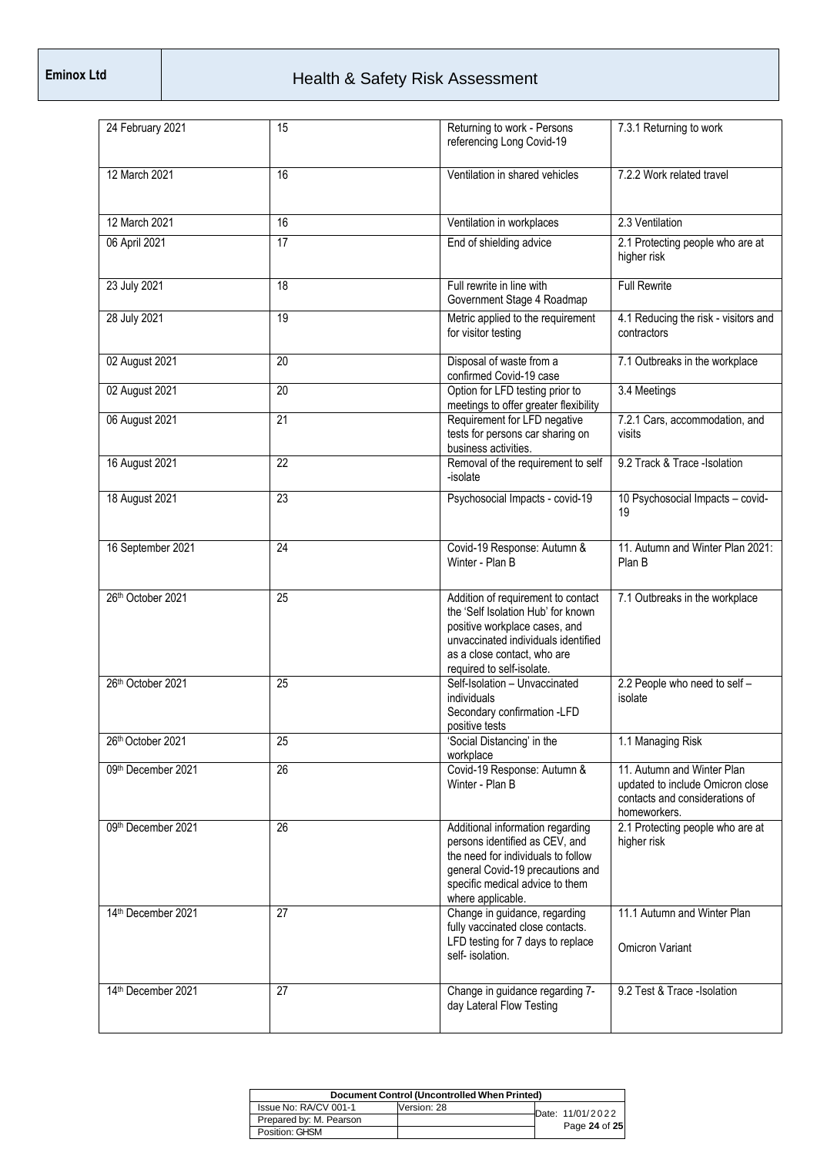| 24 February 2021   | 15              | Returning to work - Persons<br>referencing Long Covid-19                                                                                                                                                     | 7.3.1 Returning to work                                                                                          |
|--------------------|-----------------|--------------------------------------------------------------------------------------------------------------------------------------------------------------------------------------------------------------|------------------------------------------------------------------------------------------------------------------|
| 12 March 2021      | 16              | Ventilation in shared vehicles                                                                                                                                                                               | 7.2.2 Work related travel                                                                                        |
| 12 March 2021      | 16              | Ventilation in workplaces                                                                                                                                                                                    | 2.3 Ventilation                                                                                                  |
| 06 April 2021      | $\overline{17}$ | End of shielding advice                                                                                                                                                                                      | 2.1 Protecting people who are at<br>higher risk                                                                  |
| 23 July 2021       | 18              | Full rewrite in line with<br>Government Stage 4 Roadmap                                                                                                                                                      | <b>Full Rewrite</b>                                                                                              |
| 28 July 2021       | 19              | Metric applied to the requirement<br>for visitor testing                                                                                                                                                     | 4.1 Reducing the risk - visitors and<br>contractors                                                              |
| 02 August 2021     | 20              | Disposal of waste from a<br>confirmed Covid-19 case                                                                                                                                                          | 7.1 Outbreaks in the workplace                                                                                   |
| 02 August 2021     | 20              | Option for LFD testing prior to<br>meetings to offer greater flexibility                                                                                                                                     | 3.4 Meetings                                                                                                     |
| 06 August 2021     | 21              | Requirement for LFD negative<br>tests for persons car sharing on<br>business activities.                                                                                                                     | 7.2.1 Cars, accommodation, and<br>visits                                                                         |
| 16 August 2021     | 22              | Removal of the requirement to self<br>-isolate                                                                                                                                                               | 9.2 Track & Trace -Isolation                                                                                     |
| 18 August 2021     | 23              | Psychosocial Impacts - covid-19                                                                                                                                                                              | 10 Psychosocial Impacts - covid-<br>19                                                                           |
| 16 September 2021  | 24              | Covid-19 Response: Autumn &<br>Winter - Plan B                                                                                                                                                               | 11. Autumn and Winter Plan 2021:<br>Plan B                                                                       |
| 26th October 2021  | $\overline{25}$ | Addition of requirement to contact<br>the 'Self Isolation Hub' for known<br>positive workplace cases, and<br>unvaccinated individuals identified<br>as a close contact, who are<br>required to self-isolate. | 7.1 Outbreaks in the workplace                                                                                   |
| 26th October 2021  | 25              | Self-Isolation - Unvaccinated<br>individuals<br>Secondary confirmation -LFD<br>positive tests                                                                                                                | 2.2 People who need to self -<br>isolate                                                                         |
| 26th October 2021  | 25              | 'Social Distancing' in the<br>workplace                                                                                                                                                                      | 1.1 Managing Risk                                                                                                |
| 09th December 2021 | $\overline{26}$ | Covid-19 Response: Autumn &<br>Winter - Plan B                                                                                                                                                               | 11. Autumn and Winter Plan<br>updated to include Omicron close<br>contacts and considerations of<br>homeworkers. |
| 09th December 2021 | $\overline{26}$ | Additional information regarding<br>persons identified as CEV, and<br>the need for individuals to follow<br>general Covid-19 precautions and<br>specific medical advice to them<br>where applicable.         | 2.1 Protecting people who are at<br>higher risk                                                                  |
| 14th December 2021 | 27              | Change in guidance, regarding<br>fully vaccinated close contacts.<br>LFD testing for 7 days to replace<br>self- isolation.                                                                                   | 11.1 Autumn and Winter Plan<br><b>Omicron Variant</b>                                                            |
| 14th December 2021 | 27              | Change in guidance regarding 7-<br>day Lateral Flow Testing                                                                                                                                                  | 9.2 Test & Trace -Isolation                                                                                      |

| Document Control (Uncontrolled When Printed) |             |  |                  |  |
|----------------------------------------------|-------------|--|------------------|--|
| Issue No: RA/CV 001-1                        | Version: 28 |  | Date: 11/01/2022 |  |
| Prepared by: M. Pearson                      |             |  | Page 24 of 25    |  |
| Position: GHSM                               |             |  |                  |  |